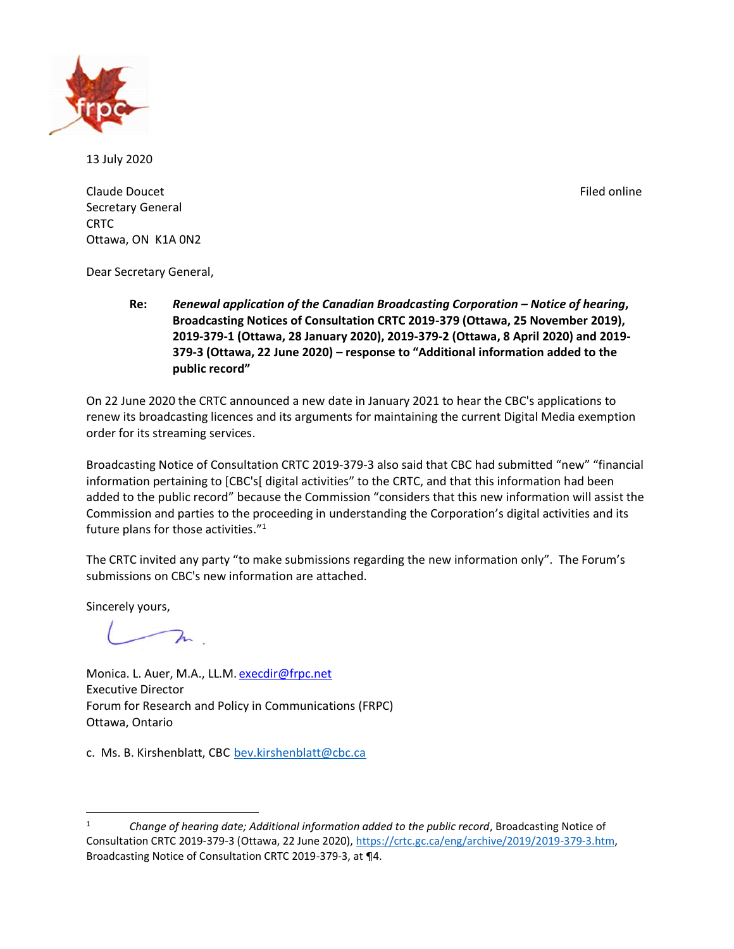

13 July 2020

Claude Doucet **Filed online** Secretary General CRTC Ottawa, ON K1A 0N2

Dear Secretary General,

**Re:** *Renewal application of the Canadian Broadcasting Corporation – Notice of hearing***, Broadcasting Notices of Consultation CRTC 2019-379 (Ottawa, 25 November 2019), 2019-379-1 (Ottawa, 28 January 2020), 2019-379-2 (Ottawa, 8 April 2020) and 2019- 379-3 (Ottawa, 22 June 2020) – response to "Additional information added to the public record"**

On 22 June 2020 the CRTC announced a new date in January 2021 to hear the CBC's applications to renew its broadcasting licences and its arguments for maintaining the current Digital Media exemption order for its streaming services.

Broadcasting Notice of Consultation CRTC 2019-379-3 also said that CBC had submitted "new" "financial information pertaining to [CBC's[ digital activities" to the CRTC, and that this information had been added to the public record" because the Commission "considers that this new information will assist the Commission and parties to the proceeding in understanding the Corporation's digital activities and its future plans for those activities." 1

The CRTC invited any party "to make submissions regarding the new information only". The Forum's submissions on CBC's new information are attached.

Sincerely yours,

 $\lambda$ 

Monica. L. Auer, M.A., LL.M. [execdir@frpc.net](mailto:execdir@frpc.net) Executive Director Forum for Research and Policy in Communications (FRPC) Ottawa, Ontario

c. Ms. B. Kirshenblatt, CBC [bev.kirshenblatt@cbc.ca](mailto:bev.kirshenblatt@cbc.ca)

<sup>1</sup> *Change of hearing date; Additional information added to the public record*, Broadcasting Notice of Consultation CRTC 2019-379-3 (Ottawa, 22 June 2020), [https://crtc.gc.ca/eng/archive/2019/2019-379-3.htm,](https://crtc.gc.ca/eng/archive/2019/2019-379-3.htm) Broadcasting Notice of Consultation CRTC 2019-379-3, at ¶4.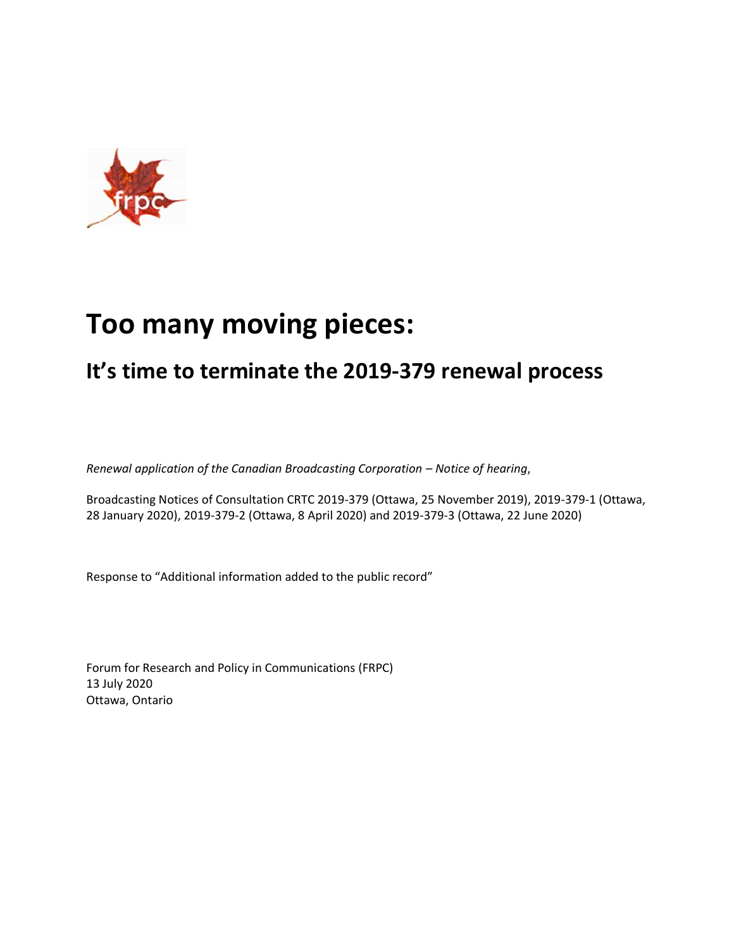

# **Too many moving pieces:**

## **It's time to terminate the 2019-379 renewal process**

*Renewal application of the Canadian Broadcasting Corporation – Notice of hearing*,

Broadcasting Notices of Consultation CRTC 2019-379 (Ottawa, 25 November 2019), 2019-379-1 (Ottawa, 28 January 2020), 2019-379-2 (Ottawa, 8 April 2020) and 2019-379-3 (Ottawa, 22 June 2020)

Response to "Additional information added to the public record"

Forum for Research and Policy in Communications (FRPC) 13 July 2020 Ottawa, Ontario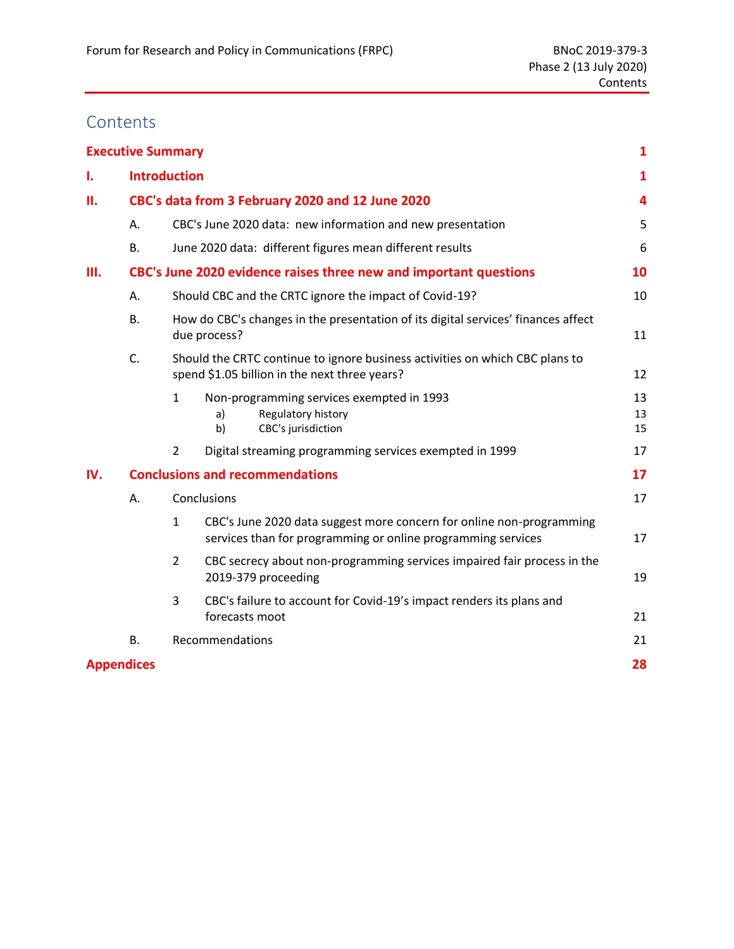## **Contents**

|     | <b>Executive Summary</b>                         |                                                                                                         |                                                                                                                                      | $\mathbf{1}$   |  |  |  |  |
|-----|--------------------------------------------------|---------------------------------------------------------------------------------------------------------|--------------------------------------------------------------------------------------------------------------------------------------|----------------|--|--|--|--|
| 1.  |                                                  | <b>Introduction</b>                                                                                     |                                                                                                                                      | $\mathbf{1}$   |  |  |  |  |
| П.  | CBC's data from 3 February 2020 and 12 June 2020 |                                                                                                         |                                                                                                                                      |                |  |  |  |  |
|     | А.                                               |                                                                                                         | CBC's June 2020 data: new information and new presentation                                                                           | 5              |  |  |  |  |
|     | <b>B.</b>                                        |                                                                                                         | June 2020 data: different figures mean different results                                                                             | 6              |  |  |  |  |
| Ш.  |                                                  |                                                                                                         | CBC's June 2020 evidence raises three new and important questions                                                                    | 10             |  |  |  |  |
|     | Α.                                               |                                                                                                         | Should CBC and the CRTC ignore the impact of Covid-19?                                                                               | 10             |  |  |  |  |
|     | <b>B.</b>                                        | How do CBC's changes in the presentation of its digital services' finances affect<br>due process?<br>11 |                                                                                                                                      |                |  |  |  |  |
|     | C.                                               |                                                                                                         | Should the CRTC continue to ignore business activities on which CBC plans to<br>spend \$1.05 billion in the next three years?        | 12             |  |  |  |  |
|     |                                                  | $\mathbf{1}$                                                                                            | Non-programming services exempted in 1993<br>Regulatory history<br>a)<br>b)<br>CBC's jurisdiction                                    | 13<br>13<br>15 |  |  |  |  |
|     |                                                  | 2                                                                                                       | Digital streaming programming services exempted in 1999                                                                              | 17             |  |  |  |  |
| IV. |                                                  |                                                                                                         | <b>Conclusions and recommendations</b>                                                                                               | 17             |  |  |  |  |
|     | Α.                                               |                                                                                                         | Conclusions                                                                                                                          | 17             |  |  |  |  |
|     |                                                  | $\mathbf{1}$                                                                                            | CBC's June 2020 data suggest more concern for online non-programming<br>services than for programming or online programming services | 17             |  |  |  |  |
|     |                                                  | $\overline{2}$                                                                                          | CBC secrecy about non-programming services impaired fair process in the<br>2019-379 proceeding                                       | 19             |  |  |  |  |
|     |                                                  | 3                                                                                                       | CBC's failure to account for Covid-19's impact renders its plans and<br>forecasts moot                                               | 21             |  |  |  |  |
|     | <b>B.</b>                                        |                                                                                                         | Recommendations                                                                                                                      | 21             |  |  |  |  |
|     | <b>Appendices</b>                                |                                                                                                         |                                                                                                                                      | 28             |  |  |  |  |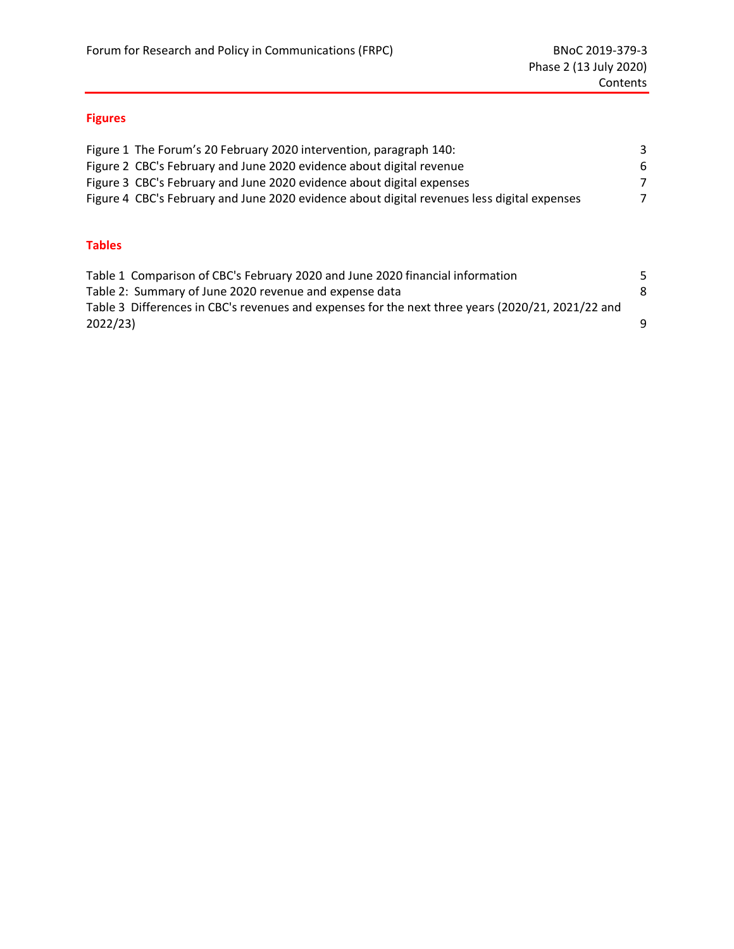## **Figures**

| Figure 1 The Forum's 20 February 2020 intervention, paragraph 140:                          | 3             |
|---------------------------------------------------------------------------------------------|---------------|
| Figure 2 CBC's February and June 2020 evidence about digital revenue                        | -6            |
| Figure 3 CBC's February and June 2020 evidence about digital expenses                       | $\mathcal{L}$ |
| Figure 4 CBC's February and June 2020 evidence about digital revenues less digital expenses | 7             |
|                                                                                             |               |

## **Tables**

| Table 1 Comparison of CBC's February 2020 and June 2020 financial information                     |   |
|---------------------------------------------------------------------------------------------------|---|
| Table 2: Summary of June 2020 revenue and expense data                                            | 8 |
| Table 3 Differences in CBC's revenues and expenses for the next three years (2020/21, 2021/22 and |   |
| 2022/23                                                                                           | q |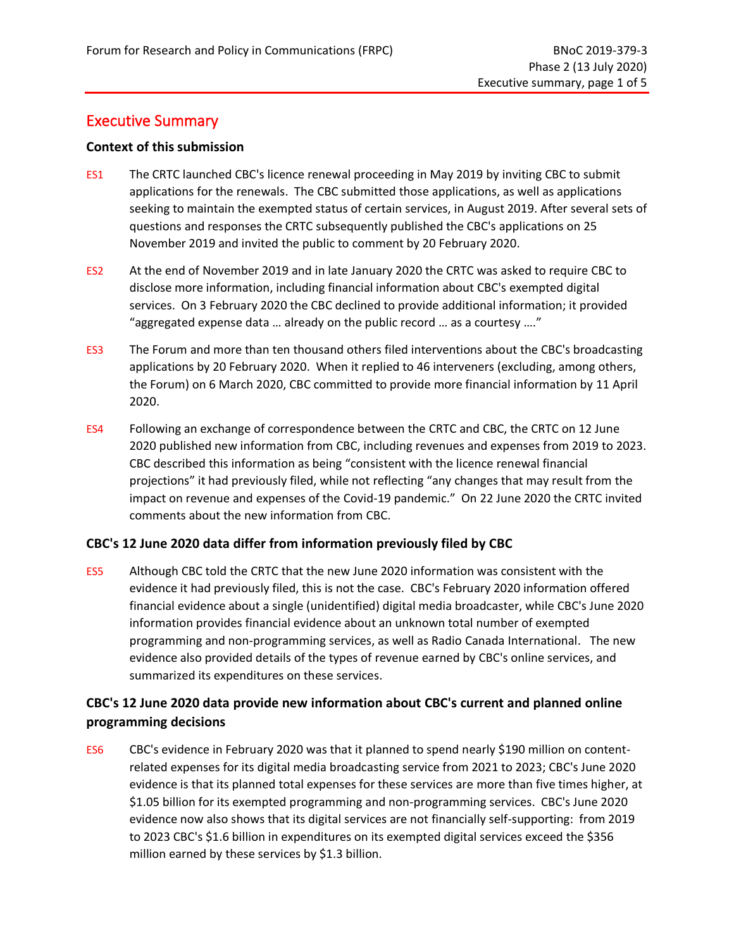## <span id="page-4-0"></span>Executive Summary

#### **Context of this submission**

- ES1 The CRTC launched CBC's licence renewal proceeding in May 2019 by inviting CBC to submit applications for the renewals. The CBC submitted those applications, as well as applications seeking to maintain the exempted status of certain services, in August 2019. After several sets of questions and responses the CRTC subsequently published the CBC's applications on 25 November 2019 and invited the public to comment by 20 February 2020.
- ES2 At the end of November 2019 and in late January 2020 the CRTC was asked to require CBC to disclose more information, including financial information about CBC's exempted digital services. On 3 February 2020 the CBC declined to provide additional information; it provided "aggregated expense data … already on the public record … as a courtesy …."
- ES3 The Forum and more than ten thousand others filed interventions about the CBC's broadcasting applications by 20 February 2020. When it replied to 46 interveners (excluding, among others, the Forum) on 6 March 2020, CBC committed to provide more financial information by 11 April 2020.
- ES4 Following an exchange of correspondence between the CRTC and CBC, the CRTC on 12 June 2020 published new information from CBC, including revenues and expenses from 2019 to 2023. CBC described this information as being "consistent with the licence renewal financial projections" it had previously filed, while not reflecting "any changes that may result from the impact on revenue and expenses of the Covid-19 pandemic." On 22 June 2020 the CRTC invited comments about the new information from CBC.

## **CBC's 12 June 2020 data differ from information previously filed by CBC**

ES5 Although CBC told the CRTC that the new June 2020 information was consistent with the evidence it had previously filed, this is not the case. CBC's February 2020 information offered financial evidence about a single (unidentified) digital media broadcaster, while CBC's June 2020 information provides financial evidence about an unknown total number of exempted programming and non-programming services, as well as Radio Canada International. The new evidence also provided details of the types of revenue earned by CBC's online services, and summarized its expenditures on these services.

## **CBC's 12 June 2020 data provide new information about CBC's current and planned online programming decisions**

ES6 CBC's evidence in February 2020 was that it planned to spend nearly \$190 million on contentrelated expenses for its digital media broadcasting service from 2021 to 2023; CBC's June 2020 evidence is that its planned total expenses for these services are more than five times higher, at \$1.05 billion for its exempted programming and non-programming services. CBC's June 2020 evidence now also shows that its digital services are not financially self-supporting: from 2019 to 2023 CBC's \$1.6 billion in expenditures on its exempted digital services exceed the \$356 million earned by these services by \$1.3 billion.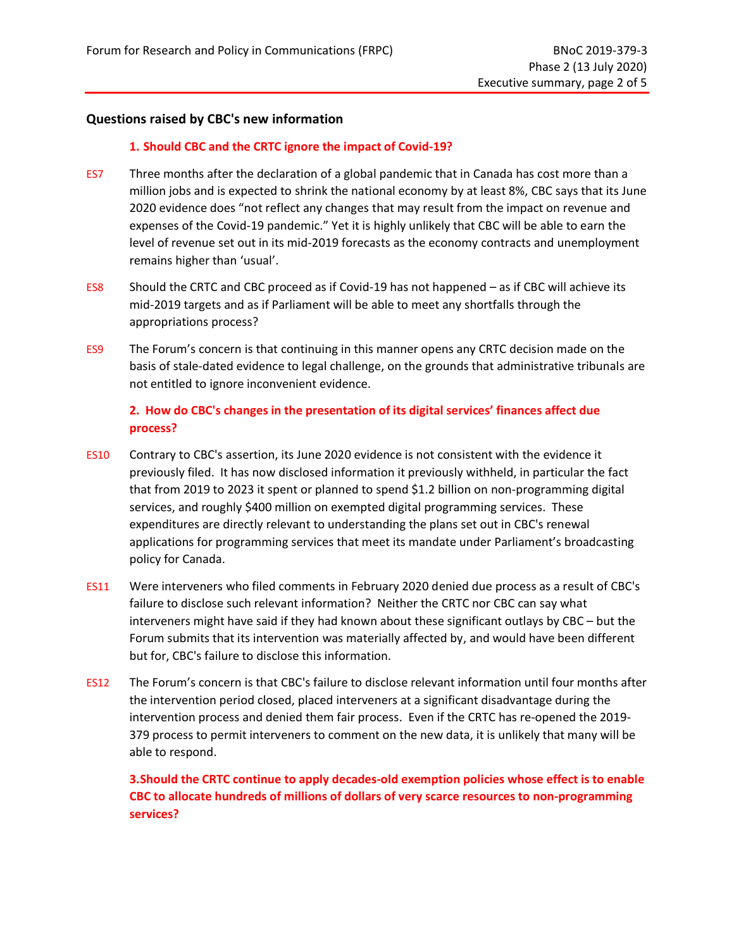#### **Questions raised by CBC's new information**

#### **1. Should CBC and the CRTC ignore the impact of Covid-19?**

- ES7 Three months after the declaration of a global pandemic that in Canada has cost more than a million jobs and is expected to shrink the national economy by at least 8%, CBC says that its June 2020 evidence does "not reflect any changes that may result from the impact on revenue and expenses of the Covid-19 pandemic." Yet it is highly unlikely that CBC will be able to earn the level of revenue set out in its mid-2019 forecasts as the economy contracts and unemployment remains higher than 'usual'.
- ES8 Should the CRTC and CBC proceed as if Covid-19 has not happened as if CBC will achieve its mid-2019 targets and as if Parliament will be able to meet any shortfalls through the appropriations process?
- ES9 The Forum's concern is that continuing in this manner opens any CRTC decision made on the basis of stale-dated evidence to legal challenge, on the grounds that administrative tribunals are not entitled to ignore inconvenient evidence.

#### **2. How do CBC's changes in the presentation of its digital services' finances affect due process?**

- ES10 Contrary to CBC's assertion, its June 2020 evidence is not consistent with the evidence it previously filed. It has now disclosed information it previously withheld, in particular the fact that from 2019 to 2023 it spent or planned to spend \$1.2 billion on non-programming digital services, and roughly \$400 million on exempted digital programming services. These expenditures are directly relevant to understanding the plans set out in CBC's renewal applications for programming services that meet its mandate under Parliament's broadcasting policy for Canada.
- ES11 Were interveners who filed comments in February 2020 denied due process as a result of CBC's failure to disclose such relevant information? Neither the CRTC nor CBC can say what interveners might have said if they had known about these significant outlays by CBC – but the Forum submits that its intervention was materially affected by, and would have been different but for, CBC's failure to disclose this information.
- ES12 The Forum's concern is that CBC's failure to disclose relevant information until four months after the intervention period closed, placed interveners at a significant disadvantage during the intervention process and denied them fair process. Even if the CRTC has re-opened the 2019- 379 process to permit interveners to comment on the new data, it is unlikely that many will be able to respond.

**3.Should the CRTC continue to apply decades-old exemption policies whose effect is to enable CBC to allocate hundreds of millions of dollars of very scarce resources to non-programming services?**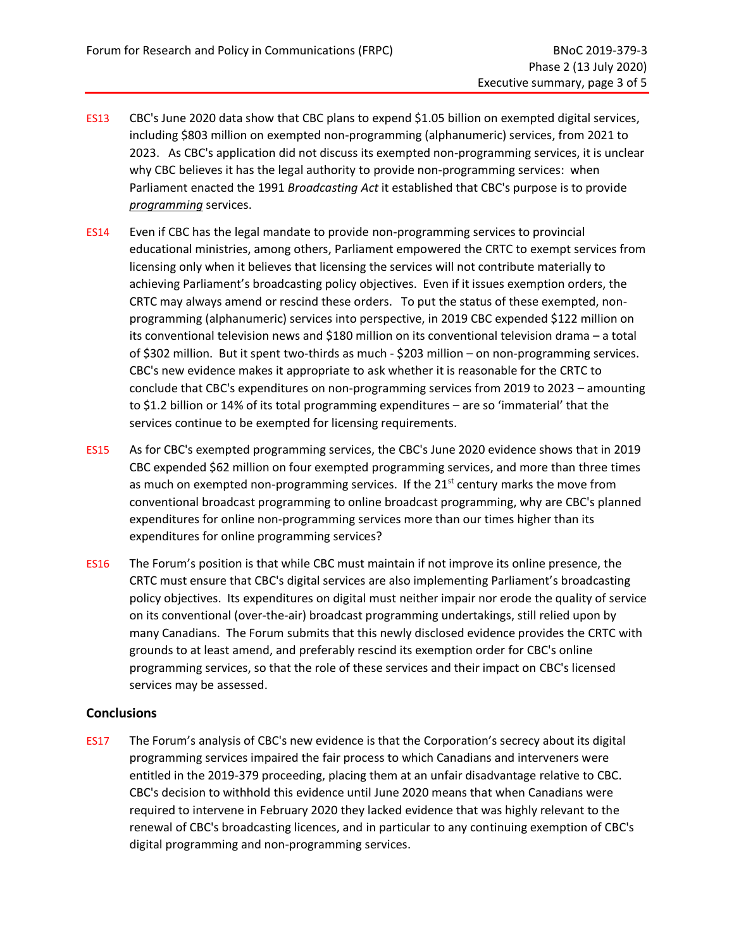- ES13 CBC's June 2020 data show that CBC plans to expend \$1.05 billion on exempted digital services, including \$803 million on exempted non-programming (alphanumeric) services, from 2021 to 2023. As CBC's application did not discuss its exempted non-programming services, it is unclear why CBC believes it has the legal authority to provide non-programming services: when Parliament enacted the 1991 *Broadcasting Act* it established that CBC's purpose is to provide *programming* services.
- ES14 Even if CBC has the legal mandate to provide non-programming services to provincial educational ministries, among others, Parliament empowered the CRTC to exempt services from licensing only when it believes that licensing the services will not contribute materially to achieving Parliament's broadcasting policy objectives. Even if it issues exemption orders, the CRTC may always amend or rescind these orders. To put the status of these exempted, nonprogramming (alphanumeric) services into perspective, in 2019 CBC expended \$122 million on its conventional television news and \$180 million on its conventional television drama – a total of \$302 million. But it spent two-thirds as much - \$203 million – on non-programming services. CBC's new evidence makes it appropriate to ask whether it is reasonable for the CRTC to conclude that CBC's expenditures on non-programming services from 2019 to 2023 – amounting to \$1.2 billion or 14% of its total programming expenditures – are so 'immaterial' that the services continue to be exempted for licensing requirements.
- ES15 As for CBC's exempted programming services, the CBC's June 2020 evidence shows that in 2019 CBC expended \$62 million on four exempted programming services, and more than three times as much on exempted non-programming services. If the  $21<sup>st</sup>$  century marks the move from conventional broadcast programming to online broadcast programming, why are CBC's planned expenditures for online non-programming services more than our times higher than its expenditures for online programming services?
- ES16 The Forum's position is that while CBC must maintain if not improve its online presence, the CRTC must ensure that CBC's digital services are also implementing Parliament's broadcasting policy objectives. Its expenditures on digital must neither impair nor erode the quality of service on its conventional (over-the-air) broadcast programming undertakings, still relied upon by many Canadians. The Forum submits that this newly disclosed evidence provides the CRTC with grounds to at least amend, and preferably rescind its exemption order for CBC's online programming services, so that the role of these services and their impact on CBC's licensed services may be assessed.

#### **Conclusions**

ES17 The Forum's analysis of CBC's new evidence is that the Corporation's secrecy about its digital programming services impaired the fair process to which Canadians and interveners were entitled in the 2019-379 proceeding, placing them at an unfair disadvantage relative to CBC. CBC's decision to withhold this evidence until June 2020 means that when Canadians were required to intervene in February 2020 they lacked evidence that was highly relevant to the renewal of CBC's broadcasting licences, and in particular to any continuing exemption of CBC's digital programming and non-programming services.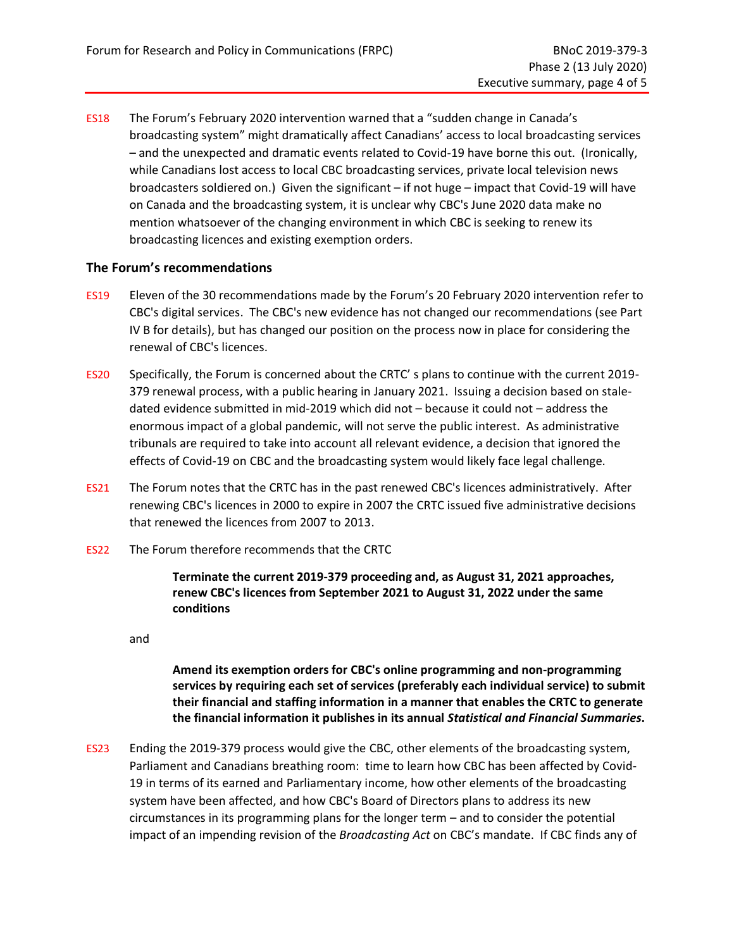ES18 The Forum's February 2020 intervention warned that a "sudden change in Canada's broadcasting system" might dramatically affect Canadians' access to local broadcasting services – and the unexpected and dramatic events related to Covid-19 have borne this out. (Ironically, while Canadians lost access to local CBC broadcasting services, private local television news broadcasters soldiered on.) Given the significant – if not huge – impact that Covid-19 will have on Canada and the broadcasting system, it is unclear why CBC's June 2020 data make no mention whatsoever of the changing environment in which CBC is seeking to renew its broadcasting licences and existing exemption orders.

#### **The Forum's recommendations**

- ES19 Eleven of the 30 recommendations made by the Forum's 20 February 2020 intervention refer to CBC's digital services. The CBC's new evidence has not changed our recommendations (see Part IV B for details), but has changed our position on the process now in place for considering the renewal of CBC's licences.
- ES20 Specifically, the Forum is concerned about the CRTC' s plans to continue with the current 2019- 379 renewal process, with a public hearing in January 2021. Issuing a decision based on staledated evidence submitted in mid-2019 which did not – because it could not – address the enormous impact of a global pandemic, will not serve the public interest. As administrative tribunals are required to take into account all relevant evidence, a decision that ignored the effects of Covid-19 on CBC and the broadcasting system would likely face legal challenge.
- ES21 The Forum notes that the CRTC has in the past renewed CBC's licences administratively. After renewing CBC's licences in 2000 to expire in 2007 the CRTC issued five administrative decisions that renewed the licences from 2007 to 2013.
- ES22 The Forum therefore recommends that the CRTC

**Terminate the current 2019-379 proceeding and, as August 31, 2021 approaches, renew CBC's licences from September 2021 to August 31, 2022 under the same conditions**

and

**Amend its exemption orders for CBC's online programming and non-programming services by requiring each set of services (preferably each individual service) to submit their financial and staffing information in a manner that enables the CRTC to generate the financial information it publishes in its annual** *Statistical and Financial Summaries***.**

ES23 Ending the 2019-379 process would give the CBC, other elements of the broadcasting system, Parliament and Canadians breathing room: time to learn how CBC has been affected by Covid-19 in terms of its earned and Parliamentary income, how other elements of the broadcasting system have been affected, and how CBC's Board of Directors plans to address its new circumstances in its programming plans for the longer term – and to consider the potential impact of an impending revision of the *Broadcasting Act* on CBC's mandate. If CBC finds any of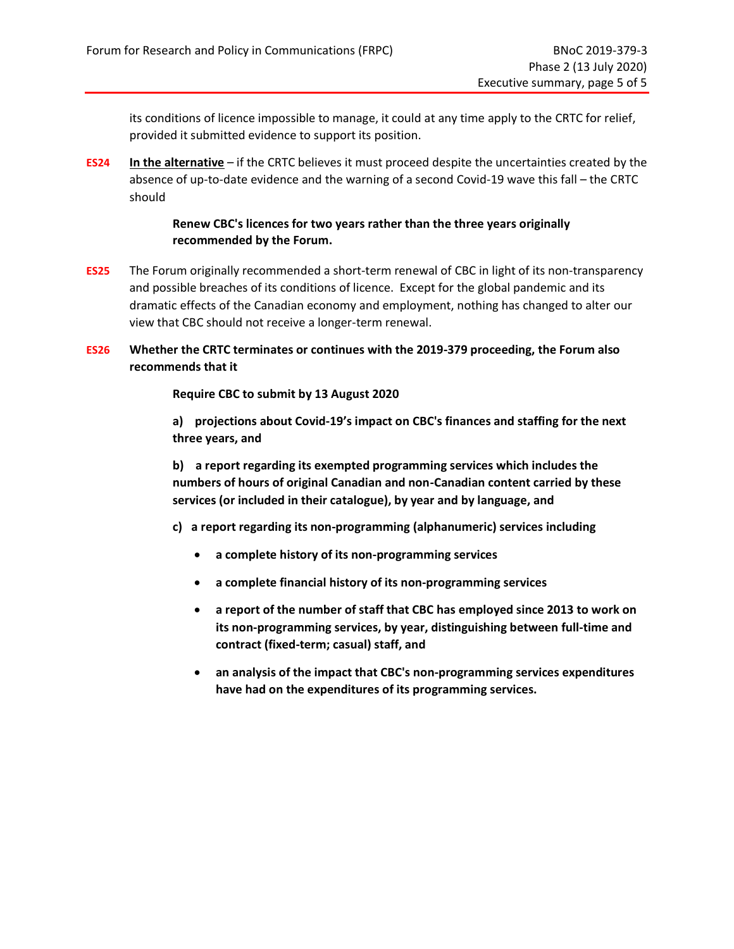its conditions of licence impossible to manage, it could at any time apply to the CRTC for relief, provided it submitted evidence to support its position.

**ES24 In the alternative** – if the CRTC believes it must proceed despite the uncertainties created by the absence of up-to-date evidence and the warning of a second Covid-19 wave this fall – the CRTC should

#### **Renew CBC's licences for two years rather than the three years originally recommended by the Forum.**

**ES25** The Forum originally recommended a short-term renewal of CBC in light of its non-transparency and possible breaches of its conditions of licence. Except for the global pandemic and its dramatic effects of the Canadian economy and employment, nothing has changed to alter our view that CBC should not receive a longer-term renewal.

#### **ES26 Whether the CRTC terminates or continues with the 2019-379 proceeding, the Forum also recommends that it**

#### **Require CBC to submit by 13 August 2020**

**a) projections about Covid-19's impact on CBC's finances and staffing for the next three years, and**

**b) a report regarding its exempted programming services which includes the numbers of hours of original Canadian and non-Canadian content carried by these services (or included in their catalogue), by year and by language, and**

- **c) a report regarding its non-programming (alphanumeric) services including** 
	- **a complete history of its non-programming services**
	- **a complete financial history of its non-programming services**
	- **a report of the number of staff that CBC has employed since 2013 to work on its non-programming services, by year, distinguishing between full-time and contract (fixed-term; casual) staff, and**
	- **an analysis of the impact that CBC's non-programming services expenditures have had on the expenditures of its programming services.**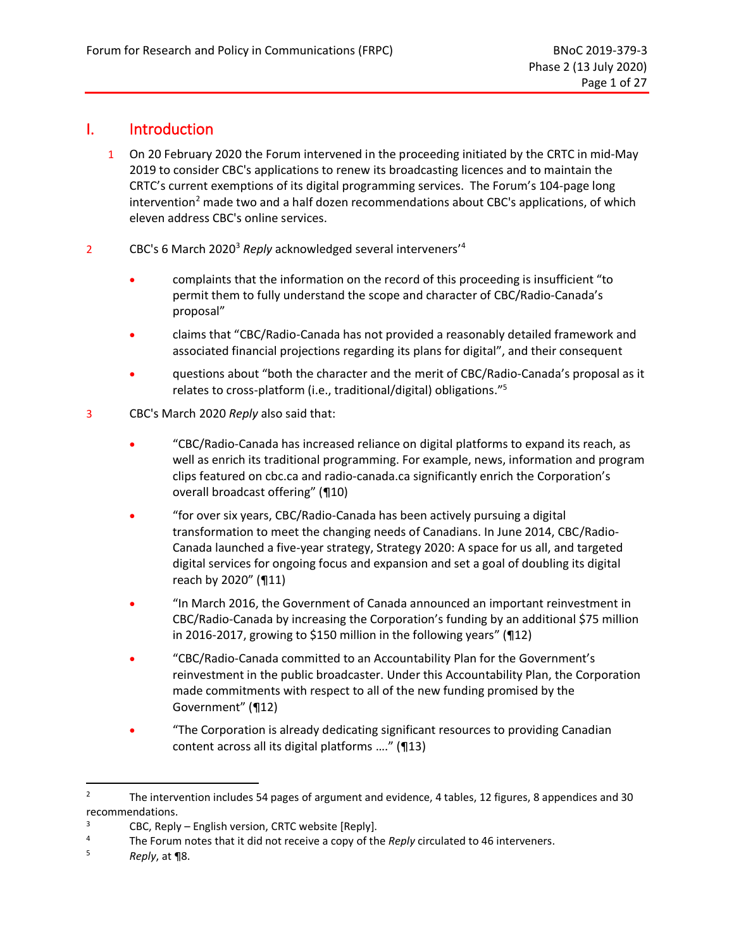## <span id="page-9-0"></span>I. Introduction

- 1 On 20 February 2020 the Forum intervened in the proceeding initiated by the CRTC in mid-May 2019 to consider CBC's applications to renew its broadcasting licences and to maintain the CRTC's current exemptions of its digital programming services. The Forum's 104-page long intervention<sup>2</sup> made two and a half dozen recommendations about CBC's applications, of which eleven address CBC's online services.
- 2 CBC's 6 March 2020<sup>3</sup> *Reply* acknowledged several interveners'<sup>4</sup>
	- complaints that the information on the record of this proceeding is insufficient "to permit them to fully understand the scope and character of CBC/Radio-Canada's proposal"
	- claims that "CBC/Radio-Canada has not provided a reasonably detailed framework and associated financial projections regarding its plans for digital", and their consequent
	- questions about "both the character and the merit of CBC/Radio-Canada's proposal as it relates to cross-platform (i.e., traditional/digital) obligations."<sup>5</sup>
- 3 CBC's March 2020 *Reply* also said that:
	- "CBC/Radio-Canada has increased reliance on digital platforms to expand its reach, as well as enrich its traditional programming. For example, news, information and program clips featured on cbc.ca and radio-canada.ca significantly enrich the Corporation's overall broadcast offering" (¶10)
	- "for over six years, CBC/Radio-Canada has been actively pursuing a digital transformation to meet the changing needs of Canadians. In June 2014, CBC/Radio-Canada launched a five-year strategy, Strategy 2020: A space for us all, and targeted digital services for ongoing focus and expansion and set a goal of doubling its digital reach by 2020" (¶11)
	- "In March 2016, the Government of Canada announced an important reinvestment in CBC/Radio-Canada by increasing the Corporation's funding by an additional \$75 million in 2016-2017, growing to \$150 million in the following years" (¶12)
	- "CBC/Radio-Canada committed to an Accountability Plan for the Government's reinvestment in the public broadcaster. Under this Accountability Plan, the Corporation made commitments with respect to all of the new funding promised by the Government" (¶12)
	- "The Corporation is already dedicating significant resources to providing Canadian content across all its digital platforms …." (¶13)

<sup>&</sup>lt;sup>2</sup> The intervention includes 54 pages of argument and evidence, 4 tables, 12 figures, 8 appendices and 30 recommendations.

 $3$  CBC, Reply – English version, CRTC website [Reply].

<sup>4</sup> The Forum notes that it did not receive a copy of the *Reply* circulated to 46 interveners.

<sup>5</sup> *Reply*, at ¶8.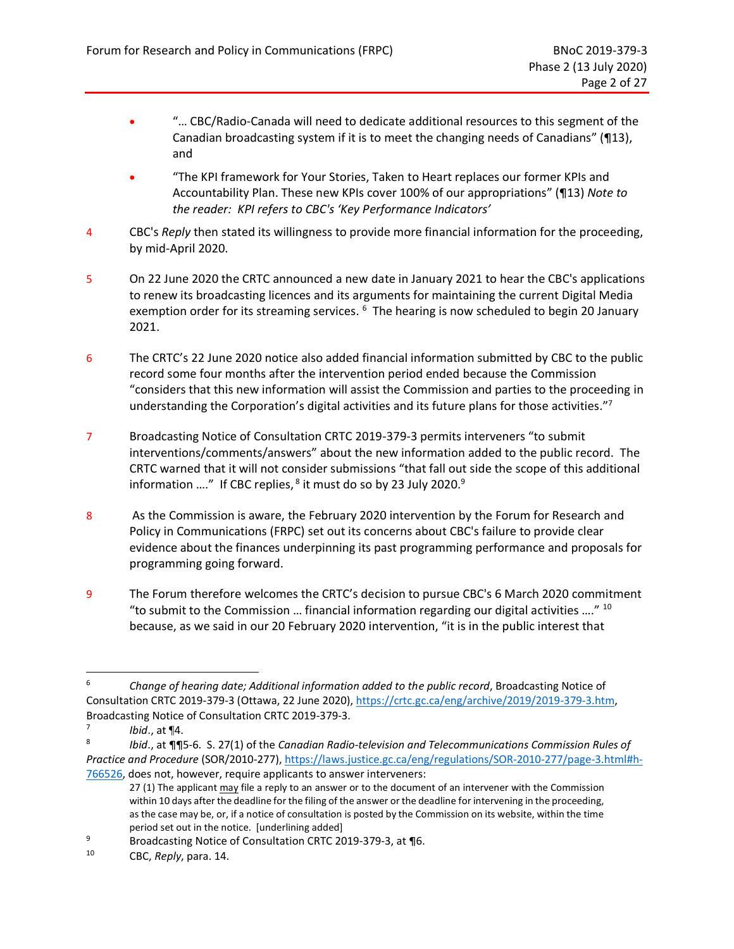- "… CBC/Radio-Canada will need to dedicate additional resources to this segment of the Canadian broadcasting system if it is to meet the changing needs of Canadians" (¶13), and
- "The KPI framework for Your Stories, Taken to Heart replaces our former KPIs and Accountability Plan. These new KPIs cover 100% of our appropriations" (¶13) *Note to the reader: KPI refers to CBC's 'Key Performance Indicators'*
- 4 CBC's *Reply* then stated its willingness to provide more financial information for the proceeding, by mid-April 2020.
- 5 On 22 June 2020 the CRTC announced a new date in January 2021 to hear the CBC's applications to renew its broadcasting licences and its arguments for maintaining the current Digital Media exemption order for its streaming services. <sup>6</sup> The hearing is now scheduled to begin 20 January 2021.
- 6 The CRTC's 22 June 2020 notice also added financial information submitted by CBC to the public record some four months after the intervention period ended because the Commission "considers that this new information will assist the Commission and parties to the proceeding in understanding the Corporation's digital activities and its future plans for those activities."<sup>7</sup>
- 7 Broadcasting Notice of Consultation CRTC 2019-379-3 permits interveners "to submit interventions/comments/answers" about the new information added to the public record. The CRTC warned that it will not consider submissions "that fall out side the scope of this additional information ...." If CBC replies,  $^8$  it must do so by 23 July 2020. $^9$
- 8 As the Commission is aware, the February 2020 intervention by the Forum for Research and Policy in Communications (FRPC) set out its concerns about CBC's failure to provide clear evidence about the finances underpinning its past programming performance and proposals for programming going forward.
- 9 The Forum therefore welcomes the CRTC's decision to pursue CBC's 6 March 2020 commitment "to submit to the Commission ... financial information regarding our digital activities ...."  $^{10}$ because, as we said in our 20 February 2020 intervention, "it is in the public interest that

<sup>6</sup> *Change of hearing date; Additional information added to the public record*, Broadcasting Notice of Consultation CRTC 2019-379-3 (Ottawa, 22 June 2020), [https://crtc.gc.ca/eng/archive/2019/2019-379-3.htm,](https://crtc.gc.ca/eng/archive/2019/2019-379-3.htm) Broadcasting Notice of Consultation CRTC 2019-379-3.

<sup>7</sup> *Ibid*., at ¶4.

<sup>8</sup> *Ibid*., at ¶¶5-6. S. 27(1) of the *Canadian Radio-television and Telecommunications Commission Rules of Practice and Procedure* (SOR/2010-277)[, https://laws.justice.gc.ca/eng/regulations/SOR-2010-277/page-3.html#h-](https://laws.justice.gc.ca/eng/regulations/SOR-2010-277/page-3.html#h-766526)[766526,](https://laws.justice.gc.ca/eng/regulations/SOR-2010-277/page-3.html#h-766526) does not, however, require applicants to answer interveners:

<sup>27 (1)</sup> The applicant may file a reply to an answer or to the document of an intervener with the Commission within 10 days after the deadline for the filing of the answer or the deadline for intervening in the proceeding, as the case may be, or, if a notice of consultation is posted by the Commission on its website, within the time period set out in the notice. [underlining added]

<sup>9</sup> Broadcasting Notice of Consultation CRTC 2019-379-3, at 16.

<sup>10</sup> CBC, *Reply*, para. 14.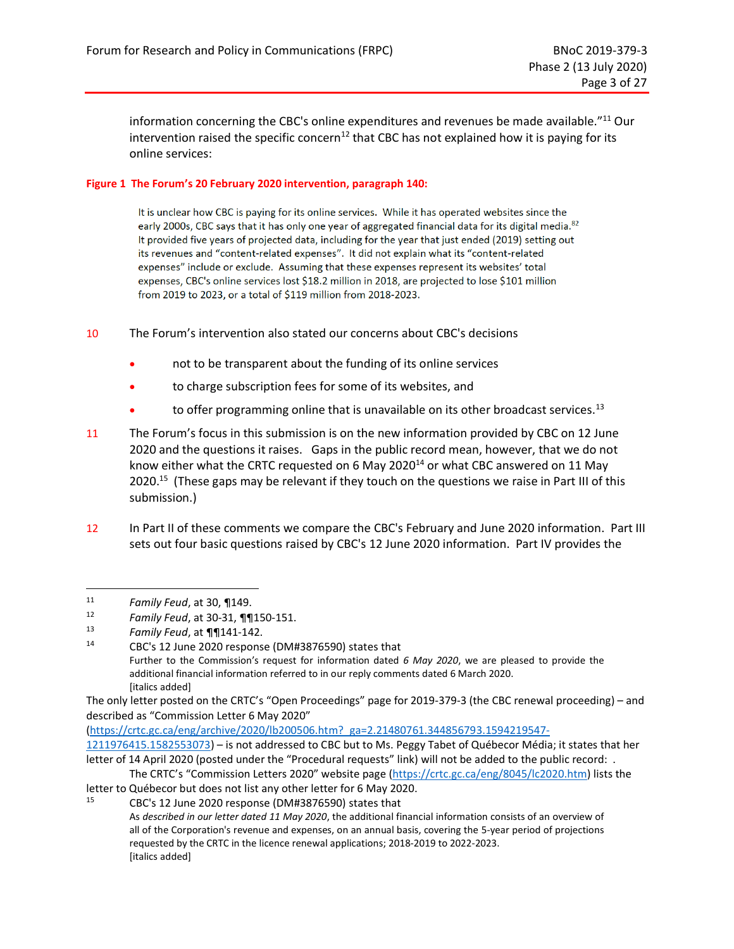information concerning the CBC's online expenditures and revenues be made available."<sup>11</sup> Our intervention raised the specific concern<sup>12</sup> that CBC has not explained how it is paying for its online services:

#### <span id="page-11-0"></span>**Figure 1 The Forum's 20 February 2020 intervention, paragraph 140:**

It is unclear how CBC is paying for its online services. While it has operated websites since the early 2000s, CBC says that it has only one year of aggregated financial data for its digital media.<sup>82</sup> It provided five years of projected data, including for the year that just ended (2019) setting out its revenues and "content-related expenses". It did not explain what its "content-related expenses" include or exclude. Assuming that these expenses represent its websites' total expenses, CBC's online services lost \$18.2 million in 2018, are projected to lose \$101 million from 2019 to 2023, or a total of \$119 million from 2018-2023.

- 10 The Forum's intervention also stated our concerns about CBC's decisions
	- not to be transparent about the funding of its online services
	- to charge subscription fees for some of its websites, and
	- $\bullet$  to offer programming online that is unavailable on its other broadcast services.<sup>13</sup>
- 11 The Forum's focus in this submission is on the new information provided by CBC on 12 June 2020 and the questions it raises. Gaps in the public record mean, however, that we do not know either what the CRTC requested on 6 May 2020<sup>14</sup> or what CBC answered on 11 May 2020.<sup>15</sup> (These gaps may be relevant if they touch on the questions we raise in Part III of this submission.)
- 12 In Part II of these comments we compare the CBC's February and June 2020 information. Part III sets out four basic questions raised by CBC's 12 June 2020 information. Part IV provides the

<sup>11</sup> *Family Feud*, at 30, ¶149.

<sup>&</sup>lt;sup>12</sup> *Family Feud*, at 30-31, **¶**¶150-151.<br><sup>13</sup> *Family Feud* at **¶¶**141-142

<sup>13</sup> *Family Feud*, at ¶¶141-142.

CBC's 12 June 2020 response (DM#3876590) states that Further to the Commission's request for information dated *6 May 2020*, we are pleased to provide the additional financial information referred to in our reply comments dated 6 March 2020. [italics added]

The only letter posted on the CRTC's "Open Proceedings" page for 2019-379-3 (the CBC renewal proceeding) – and described as "Commission Letter 6 May 2020"

[<sup>\(</sup>https://crtc.gc.ca/eng/archive/2020/lb200506.htm?\\_ga=2.21480761.344856793.1594219547-](https://crtc.gc.ca/eng/archive/2020/lb200506.htm?_ga=2.21480761.344856793.1594219547-1211976415.1582553073)

[<sup>1211976415.1582553073\)</sup>](https://crtc.gc.ca/eng/archive/2020/lb200506.htm?_ga=2.21480761.344856793.1594219547-1211976415.1582553073) – is not addressed to CBC but to Ms. Peggy Tabet of Québecor Média; it states that her letter of 14 April 2020 (posted under the "Procedural requests" link) will not be added to the public record: .

The CRTC's "Commission Letters 2020" website page [\(https://crtc.gc.ca/eng/8045/lc2020.htm\)](https://crtc.gc.ca/eng/8045/lc2020.htm) lists the letter to Québecor but does not list any other letter for 6 May 2020.<br><sup>15</sup> CBC's 12 June 2020 response (DM#2976500) states that

<sup>15</sup> CBC's 12 June 2020 response (DM#3876590) states that

As *described in our letter dated 11 May 2020*, the additional financial information consists of an overview of all of the Corporation's revenue and expenses, on an annual basis, covering the 5-year period of projections requested by the CRTC in the licence renewal applications; 2018-2019 to 2022-2023. [italics added]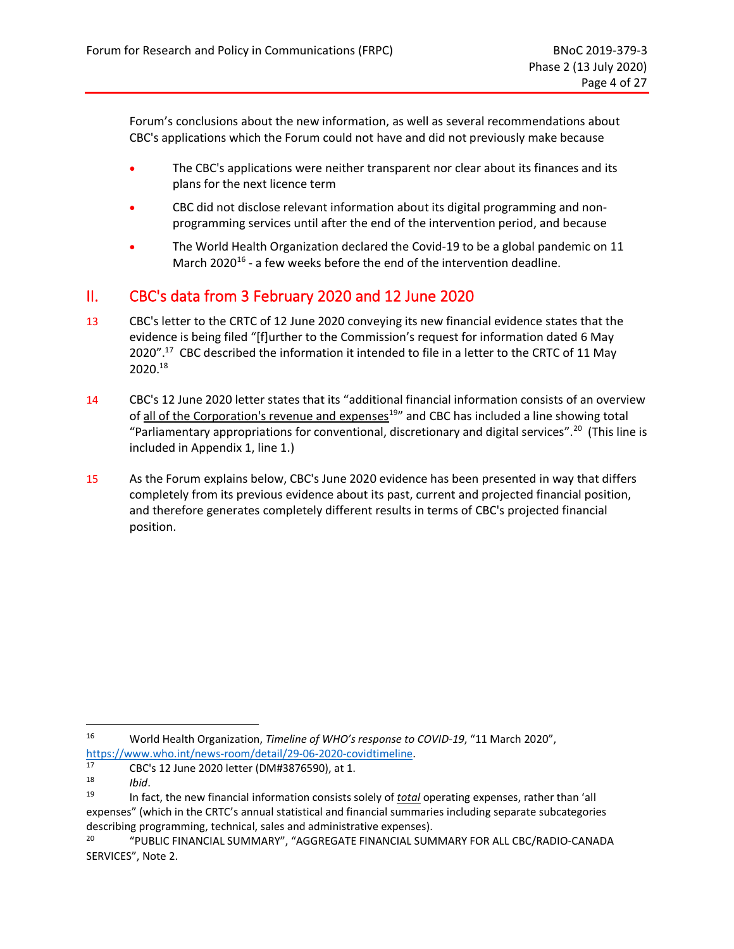Forum's conclusions about the new information, as well as several recommendations about CBC's applications which the Forum could not have and did not previously make because

- The CBC's applications were neither transparent nor clear about its finances and its plans for the next licence term
- CBC did not disclose relevant information about its digital programming and nonprogramming services until after the end of the intervention period, and because
- The World Health Organization declared the Covid-19 to be a global pandemic on 11 March 2020<sup>16</sup> - a few weeks before the end of the intervention deadline.

## <span id="page-12-0"></span>II. CBC's data from 3 February 2020 and 12 June 2020

- 13 CBC's letter to the CRTC of 12 June 2020 conveying its new financial evidence states that the evidence is being filed "[f]urther to the Commission's request for information dated 6 May 2020".<sup>17</sup> CBC described the information it intended to file in a letter to the CRTC of 11 May 2020.<sup>18</sup>
- 14 CBC's 12 June 2020 letter states that its "additional financial information consists of an overview of all of the Corporation's revenue and expenses<sup>19</sup>" and CBC has included a line showing total "Parliamentary appropriations for conventional, discretionary and digital services". 20 (This line is included in Appendix 1, line 1.)
- 15 As the Forum explains below, CBC's June 2020 evidence has been presented in way that differs completely from its previous evidence about its past, current and projected financial position, and therefore generates completely different results in terms of CBC's projected financial position.

<sup>16</sup> World Health Organization, *Timeline of WHO's response to COVID-19*, "11 March 2020", [https://www.who.int/news-room/detail/29-06-2020-covidtimeline.](https://www.who.int/news-room/detail/29-06-2020-covidtimeline)<br>17 CBC's 12 June 2020 letter (DM#3876590) at 1

<sup>17</sup> CBC's 12 June 2020 letter (DM#3876590), at 1.

<sup>18</sup> *Ibid*.

<sup>19</sup> In fact, the new financial information consists solely of *total* operating expenses, rather than 'all expenses" (which in the CRTC's annual statistical and financial summaries including separate subcategories describing programming, technical, sales and administrative expenses).

<sup>20</sup> "PUBLIC FINANCIAL SUMMARY", "AGGREGATE FINANCIAL SUMMARY FOR ALL CBC/RADIO-CANADA SERVICES", Note 2.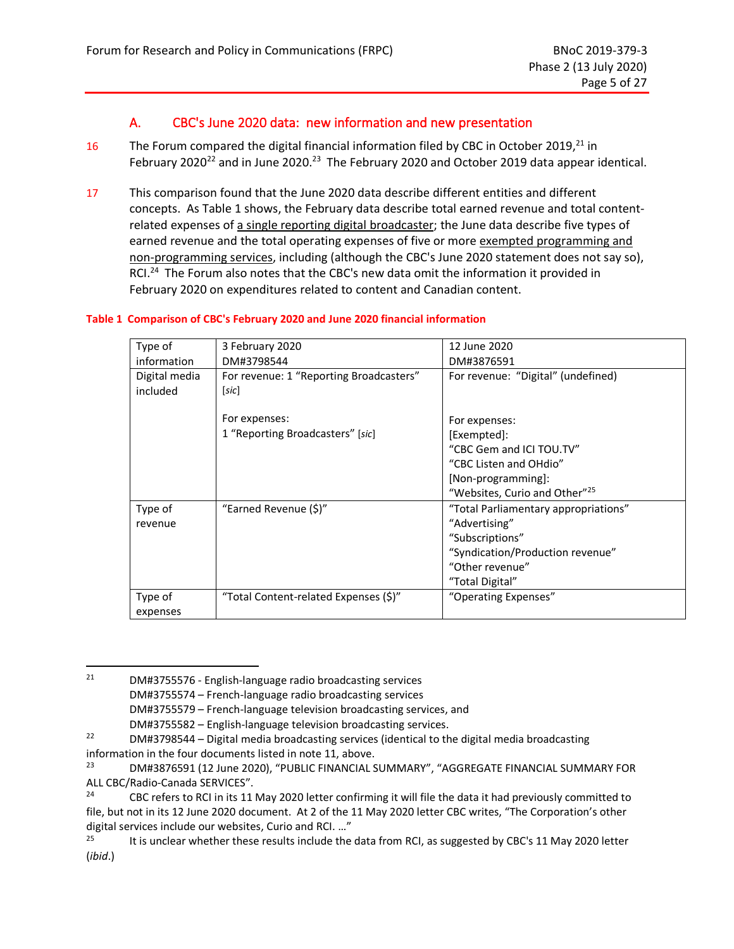## A. CBC's June 2020 data: new information and new presentation

- <span id="page-13-0"></span>16 The Forum compared the digital financial information filed by CBC in October 2019, $^{21}$  in February 2020<sup>22</sup> and in June 2020.<sup>23</sup> The February 2020 and October 2019 data appear identical.
- 17 This comparison found that the June 2020 data describe different entities and different concepts. As [Table 1](#page-13-1) shows, the February data describe total earned revenue and total contentrelated expenses of a single reporting digital broadcaster; the June data describe five types of earned revenue and the total operating expenses of five or more exempted programming and non-programming services, including (although the CBC's June 2020 statement does not say so), RCI.<sup>24</sup> The Forum also notes that the CBC's new data omit the information it provided in February 2020 on expenditures related to content and Canadian content.

#### <span id="page-13-1"></span>**Table 1 Comparison of CBC's February 2020 and June 2020 financial information**

| Type of       | 3 February 2020                         | 12 June 2020                              |
|---------------|-----------------------------------------|-------------------------------------------|
| information   | DM#3798544                              | DM#3876591                                |
| Digital media | For revenue: 1 "Reporting Broadcasters" | For revenue: "Digital" (undefined)        |
| included      | [sic]                                   |                                           |
|               |                                         |                                           |
|               | For expenses:                           | For expenses:                             |
|               | 1 "Reporting Broadcasters" [sic]        | [Exempted]:                               |
|               |                                         | "CBC Gem and ICI TOU.TV"                  |
|               |                                         | "CBC Listen and OHdio"                    |
|               |                                         | [Non-programming]:                        |
|               |                                         | "Websites, Curio and Other" <sup>25</sup> |
| Type of       | "Earned Revenue (\$)"                   | "Total Parliamentary appropriations"      |
| revenue       |                                         | "Advertising"                             |
|               |                                         | "Subscriptions"                           |
|               |                                         | "Syndication/Production revenue"          |
|               |                                         | "Other revenue"                           |
|               |                                         | "Total Digital"                           |
| Type of       | "Total Content-related Expenses (\$)"   | "Operating Expenses"                      |
| expenses      |                                         |                                           |

 $21$  DM#3755576 - English-language radio broadcasting services DM#3755574 – French-language radio broadcasting services DM#3755579 – French-language television broadcasting services, and

DM#3755582 – English-language television broadcasting services.

<sup>&</sup>lt;sup>22</sup> DM#3798544 – Digital media broadcasting services (identical to the digital media broadcasting information in the four documents listed in note 11, above.

<sup>23</sup> DM#3876591 (12 June 2020), "PUBLIC FINANCIAL SUMMARY", "AGGREGATE FINANCIAL SUMMARY FOR ALL CBC/Radio-Canada SERVICES".

<sup>&</sup>lt;sup>24</sup> CBC refers to RCI in its 11 May 2020 letter confirming it will file the data it had previously committed to file, but not in its 12 June 2020 document. At 2 of the 11 May 2020 letter CBC writes, "The Corporation's other digital services include our websites, Curio and RCI. ..."<br><sup>25</sup> Lt is unclear whether these results include the

It is unclear whether these results include the data from RCI, as suggested by CBC's 11 May 2020 letter (*ibid*.)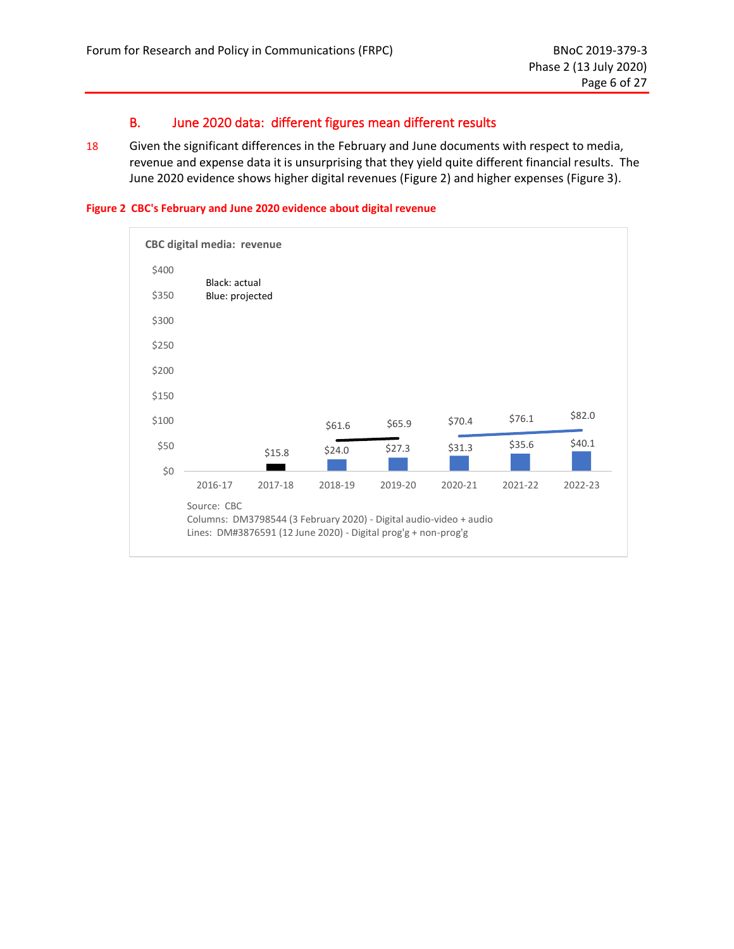## B. June 2020 data: different figures mean different results

<span id="page-14-0"></span>18 Given the significant differences in the February and June documents with respect to media, revenue and expense data it is unsurprising that they yield quite different financial results. The June 2020 evidence shows higher digital revenues [\(Figure 2\)](#page-14-1) and higher expenses [\(Figure 3\)](#page-15-0).

<span id="page-14-1"></span>

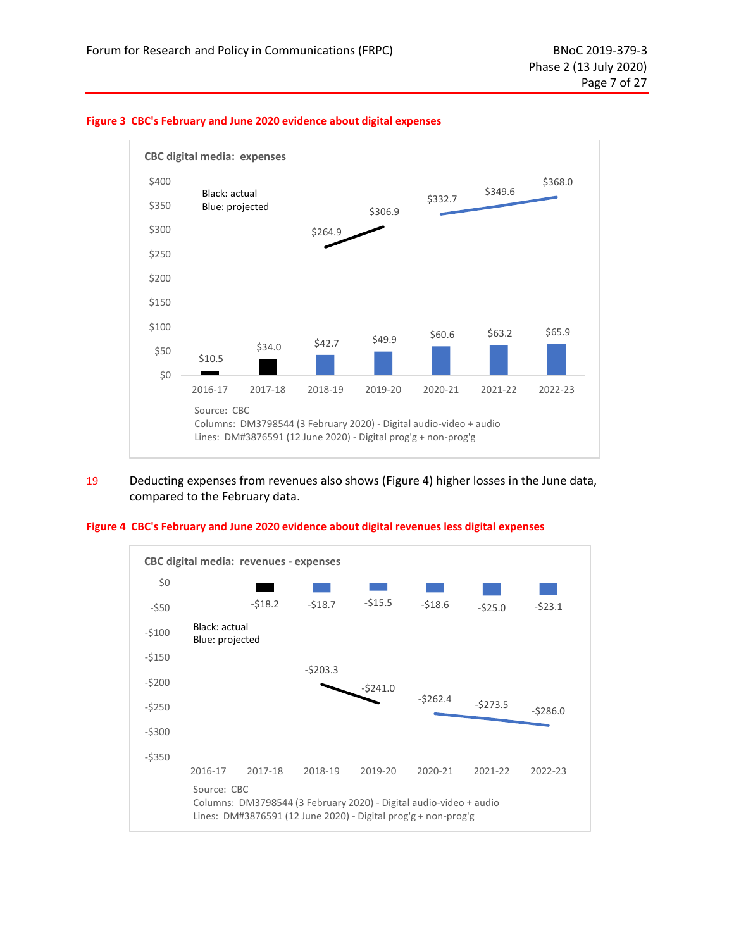

#### <span id="page-15-0"></span>**Figure 3 CBC's February and June 2020 evidence about digital expenses**

19 Deducting expenses from revenues also shows [\(Figure 4\)](#page-15-1) higher losses in the June data, compared to the February data.

#### <span id="page-15-1"></span>**Figure 4 CBC's February and June 2020 evidence about digital revenues less digital expenses**

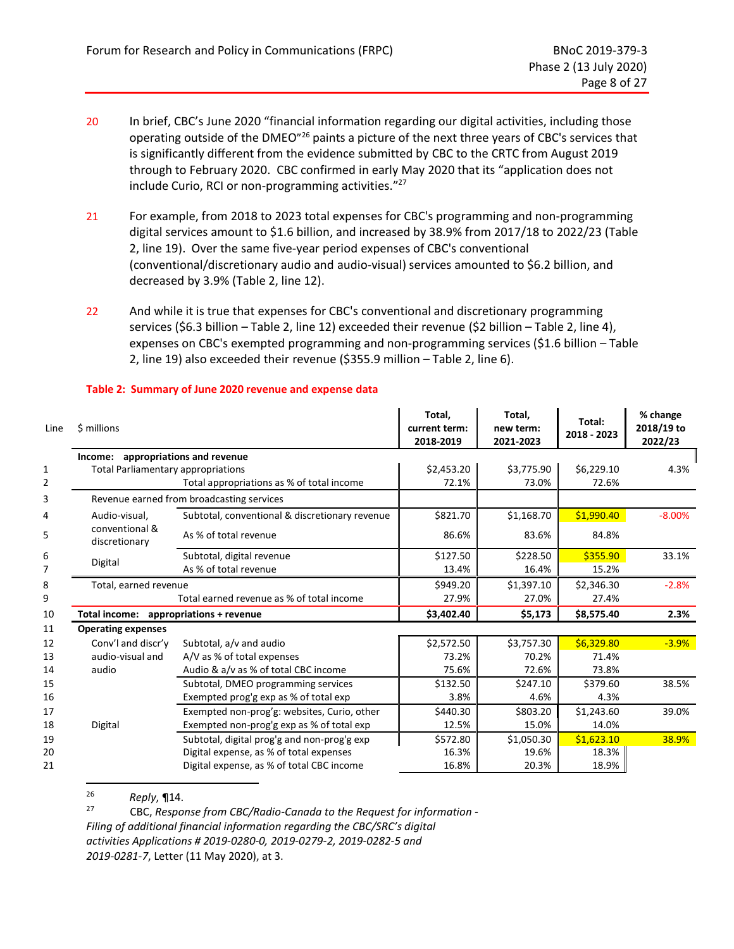- 20 In brief, CBC's June 2020 "financial information regarding our digital activities, including those operating outside of the DMEO"<sup>26</sup> paints a picture of the next three years of CBC's services that is significantly different from the evidence submitted by CBC to the CRTC from August 2019 through to February 2020. CBC confirmed in early May 2020 that its "application does not include Curio, RCI or non-programming activities." 27
- 21 For example, from 2018 to 2023 total expenses for CBC's programming and non-programming digital services amount to \$1.6 billion, and increased by 38.9% from 2017/18 to 2022/23 [\(Table](#page-16-0)  [2,](#page-16-0) line 19). Over the same five-year period expenses of CBC's conventional (conventional/discretionary audio and audio-visual) services amounted to \$6.2 billion, and decreased by 3.9% (Table 2, line 12).
- 22 And while it is true that expenses for CBC's conventional and discretionary programming services (\$6.3 billion – Table 2, line 12) exceeded their revenue (\$2 billion – Table 2, line 4), expenses on CBC's exempted programming and non-programming services (\$1.6 billion – Table 2, line 19) also exceeded their revenue (\$355.9 million – Table 2, line 6).

| Line | \$ millions                               |                                                | Total,<br>current term:<br>2018-2019 | Total,<br>new term:<br>2021-2023 | Total:<br>2018 - 2023 | % change<br>2018/19 to<br>2022/23 |
|------|-------------------------------------------|------------------------------------------------|--------------------------------------|----------------------------------|-----------------------|-----------------------------------|
|      | Income:                                   | appropriations and revenue                     |                                      |                                  |                       |                                   |
| 1    | <b>Total Parliamentary appropriations</b> |                                                | \$2,453.20                           | \$3,775.90                       | \$6,229.10            | 4.3%                              |
| 2    |                                           | Total appropriations as % of total income      | 72.1%                                | 73.0%                            | 72.6%                 |                                   |
| 3    |                                           | Revenue earned from broadcasting services      |                                      |                                  |                       |                                   |
| 4    | Audio-visual,                             | Subtotal, conventional & discretionary revenue | \$821.70                             | \$1,168.70                       | \$1,990.40            | $-8.00%$                          |
| 5    | conventional &<br>discretionary           | As % of total revenue                          | 86.6%                                | 83.6%                            | 84.8%                 |                                   |
| 6    | Digital                                   | Subtotal, digital revenue                      | \$127.50                             | \$228.50                         | \$355.90              | 33.1%                             |
| 7    |                                           | As % of total revenue                          | 13.4%                                | 16.4%                            | 15.2%                 |                                   |
| 8    | Total, earned revenue                     |                                                | \$949.20                             | \$1,397.10                       | \$2,346.30            | $-2.8%$                           |
| 9    |                                           | Total earned revenue as % of total income      | 27.9%                                | 27.0%                            | 27.4%                 |                                   |
| 10   | Total income: appropriations + revenue    |                                                | \$3,402.40                           | \$5,173                          | \$8,575.40            | 2.3%                              |
| 11   | <b>Operating expenses</b>                 |                                                |                                      |                                  |                       |                                   |
| 12   | Conv'l and discr'y                        | Subtotal, a/v and audio                        | \$2,572.50                           | \$3,757.30                       | \$6,329.80            | $-3.9%$                           |
| 13   | audio-visual and                          | A/V as % of total expenses                     | 73.2%                                | 70.2%                            | 71.4%                 |                                   |
| 14   | audio                                     | Audio & a/v as % of total CBC income           | 75.6%                                | 72.6%                            | 73.8%                 |                                   |
| 15   |                                           | Subtotal, DMEO programming services            | \$132.50                             | \$247.10                         | \$379.60              | 38.5%                             |
| 16   |                                           | Exempted prog'g exp as % of total exp          | 3.8%                                 | 4.6%                             | 4.3%                  |                                   |
| 17   |                                           | Exempted non-prog'g: websites, Curio, other    | \$440.30                             | \$803.20                         | \$1,243.60            | 39.0%                             |
| 18   | Digital                                   | Exempted non-prog'g exp as % of total exp      | 12.5%                                | 15.0%                            | 14.0%                 |                                   |
| 19   |                                           | Subtotal, digital prog'g and non-prog'g exp    | \$572.80                             | \$1,050.30                       | \$1,623.10            | 38.9%                             |
| 20   |                                           | Digital expense, as % of total expenses        | 16.3%                                | 19.6%                            | 18.3%                 |                                   |
| 21   |                                           | Digital expense, as % of total CBC income      | 16.8%                                | 20.3%                            | 18.9%                 |                                   |

#### <span id="page-16-0"></span>**Table 2: Summary of June 2020 revenue and expense data**

<sup>26</sup> *Reply*, ¶14.

<sup>27</sup> CBC, *Response from CBC/Radio-Canada to the Request for information - Filing of additional financial information regarding the CBC/SRC's digital activities Applications # 2019-0280-0, 2019-0279-2, 2019-0282-5 and 2019-0281-7*, Letter (11 May 2020), at 3.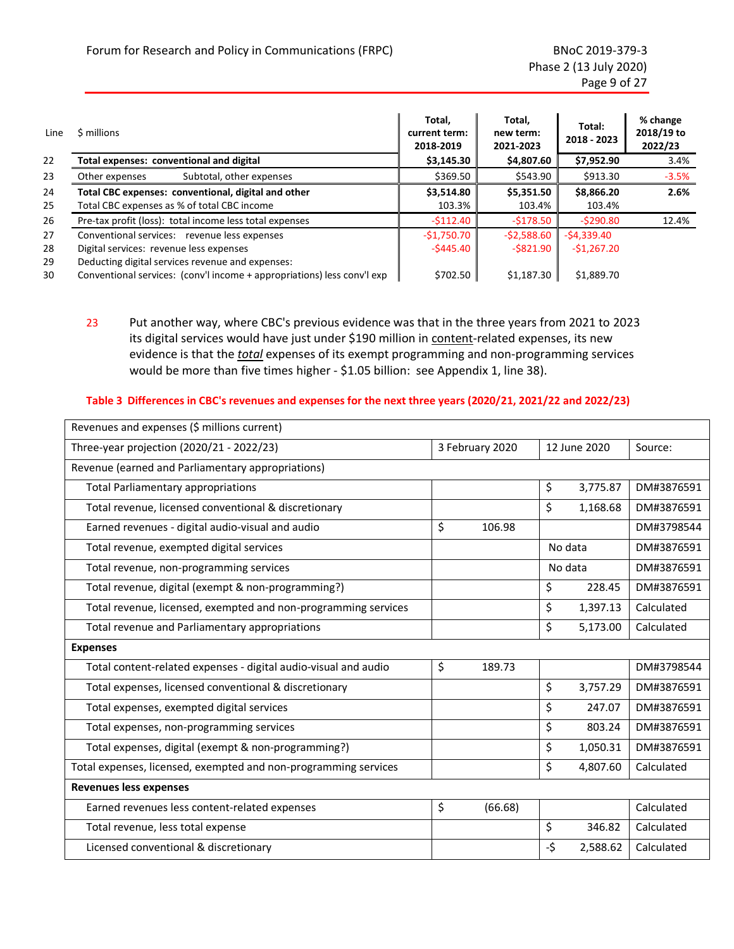| Line     | \$ millions                                                                                                                 | Total.<br>current term:<br>2018-2019 | Total.<br>new term:<br>2021-2023 | Total:<br>2018 - 2023 | % change<br>2018/19 to<br>2022/23 |
|----------|-----------------------------------------------------------------------------------------------------------------------------|--------------------------------------|----------------------------------|-----------------------|-----------------------------------|
| 22       | Total expenses: conventional and digital                                                                                    | \$3,145.30                           | \$4,807.60                       | \$7,952.90            | 3.4%                              |
| 23       | Subtotal, other expenses<br>Other expenses                                                                                  | \$369.50                             | \$543.90                         | \$913.30              | $-3.5%$                           |
| 24       | Total CBC expenses: conventional, digital and other                                                                         | \$3,514.80                           | \$5,351.50                       | \$8,866.20            | 2.6%                              |
| 25       | Total CBC expenses as % of total CBC income                                                                                 | 103.3%                               | 103.4%                           | 103.4%                |                                   |
| 26       | Pre-tax profit (loss): total income less total expenses                                                                     | $-5112.40$                           | $-5178.50$                       | $-5290.80$            | 12.4%                             |
| 27       | Conventional services: revenue less expenses                                                                                | $-51,750.70$                         | $-52,588.60$                     | $-$ \$4,339.40        |                                   |
| 28       | Digital services: revenue less expenses                                                                                     | -\$445.40                            | $-$ \$821.90                     | $-51,267.20$          |                                   |
| 29<br>30 | Deducting digital services revenue and expenses:<br>Conventional services: (conv'l income + appropriations) less conv'l exp | \$702.50                             | \$1,187.30                       | \$1,889.70            |                                   |

23 Put another way, where CBC's previous evidence was that in the three years from 2021 to 2023 its digital services would have just under \$190 million in content-related expenses, its new evidence is that the *total* expenses of its exempt programming and non-programming services would be more than five times higher - \$1.05 billion: see [Appendix 1,](#page-37-0) line 38).

#### <span id="page-17-0"></span>**Table 3 Differences in CBC's revenues and expenses for the next three years (2020/21, 2021/22 and 2022/23)**

| Revenues and expenses (\$ millions current)                     |                 |         |              |          |            |
|-----------------------------------------------------------------|-----------------|---------|--------------|----------|------------|
| Three-year projection (2020/21 - 2022/23)                       | 3 February 2020 |         | 12 June 2020 |          | Source:    |
| Revenue (earned and Parliamentary appropriations)               |                 |         |              |          |            |
| <b>Total Parliamentary appropriations</b>                       |                 |         | \$           | 3,775.87 | DM#3876591 |
| Total revenue, licensed conventional & discretionary            |                 |         | \$           | 1,168.68 | DM#3876591 |
| Earned revenues - digital audio-visual and audio                | \$              | 106.98  |              |          | DM#3798544 |
| Total revenue, exempted digital services                        |                 |         | No data      |          | DM#3876591 |
| Total revenue, non-programming services                         |                 |         | No data      |          | DM#3876591 |
| Total revenue, digital (exempt & non-programming?)              |                 |         | \$           | 228.45   | DM#3876591 |
| Total revenue, licensed, exempted and non-programming services  |                 |         | \$           | 1,397.13 | Calculated |
| Total revenue and Parliamentary appropriations                  |                 |         | \$           | 5,173.00 | Calculated |
| <b>Expenses</b>                                                 |                 |         |              |          |            |
| Total content-related expenses - digital audio-visual and audio | \$              | 189.73  |              |          | DM#3798544 |
| Total expenses, licensed conventional & discretionary           |                 |         | \$           | 3,757.29 | DM#3876591 |
| Total expenses, exempted digital services                       |                 |         | \$           | 247.07   | DM#3876591 |
| Total expenses, non-programming services                        |                 |         | \$           | 803.24   | DM#3876591 |
| Total expenses, digital (exempt & non-programming?)             |                 |         | \$           | 1,050.31 | DM#3876591 |
| Total expenses, licensed, exempted and non-programming services |                 |         | \$           | 4,807.60 | Calculated |
| <b>Revenues less expenses</b>                                   |                 |         |              |          |            |
| Earned revenues less content-related expenses                   | \$              | (66.68) |              |          | Calculated |
| Total revenue, less total expense                               |                 |         | \$           | 346.82   | Calculated |
| Licensed conventional & discretionary                           |                 |         | -\$          | 2,588.62 | Calculated |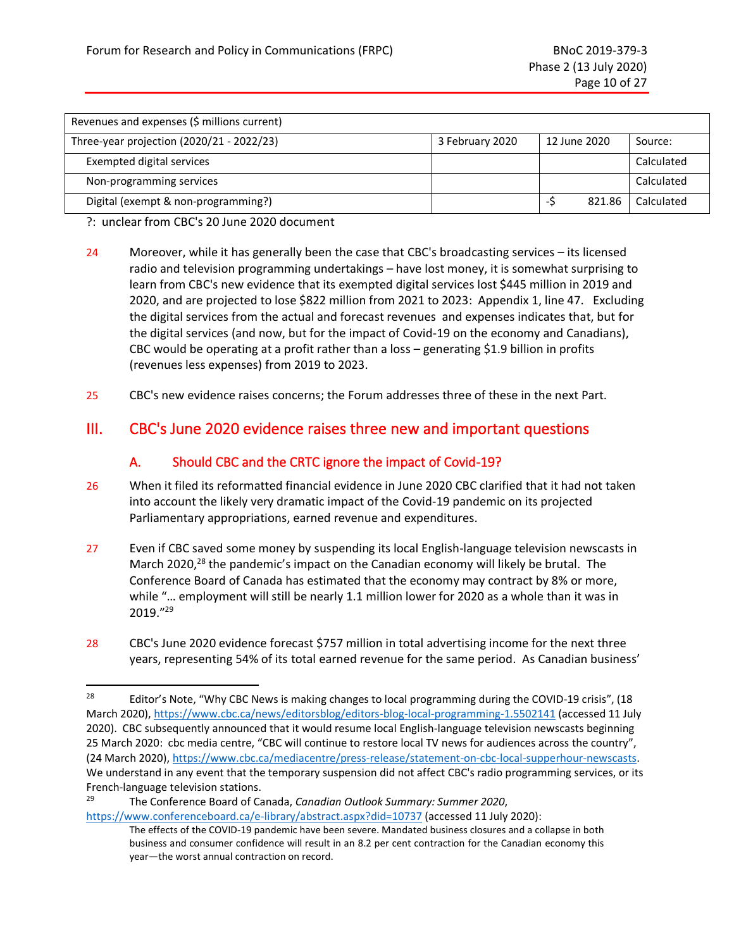| Revenues and expenses (\$ millions current) |                 |              |        |            |
|---------------------------------------------|-----------------|--------------|--------|------------|
| Three-year projection (2020/21 - 2022/23)   | 3 February 2020 | 12 June 2020 |        | Source:    |
| Exempted digital services                   |                 |              |        | Calculated |
| Non-programming services                    |                 |              |        | Calculated |
| Digital (exempt & non-programming?)         |                 | -2           | 821.86 | Calculated |

?: unclear from CBC's 20 June 2020 document

- 24 Moreover, while it has generally been the case that CBC's broadcasting services its licensed radio and television programming undertakings – have lost money, it is somewhat surprising to learn from CBC's new evidence that its exempted digital services lost \$445 million in 2019 and 2020, and are projected to lose \$822 million from 2021 to 2023: [Appendix 1,](#page-37-0) line 47. Excluding the digital services from the actual and forecast revenues and expenses indicates that, but for the digital services (and now, but for the impact of Covid-19 on the economy and Canadians), CBC would be operating at a profit rather than a loss – generating \$1.9 billion in profits (revenues less expenses) from 2019 to 2023.
- 25 CBC's new evidence raises concerns; the Forum addresses three of these in the next Part.

## <span id="page-18-1"></span><span id="page-18-0"></span>III. CBC's June 2020 evidence raises three new and important questions

## A. Should CBC and the CRTC ignore the impact of Covid-19?

- 26 When it filed its reformatted financial evidence in June 2020 CBC clarified that it had not taken into account the likely very dramatic impact of the Covid-19 pandemic on its projected Parliamentary appropriations, earned revenue and expenditures.
- 27 Even if CBC saved some money by suspending its local English-language television newscasts in March 2020,<sup>28</sup> the pandemic's impact on the Canadian economy will likely be brutal. The Conference Board of Canada has estimated that the economy may contract by 8% or more, while "… employment will still be nearly 1.1 million lower for 2020 as a whole than it was in 2019." 29
- 28 CBC's June 2020 evidence forecast \$757 million in total advertising income for the next three years, representing 54% of its total earned revenue for the same period. As Canadian business'

<sup>29</sup> The Conference Board of Canada, *Canadian Outlook Summary: Summer 2020*,

<sup>&</sup>lt;sup>28</sup> Editor's Note, "Why CBC News is making changes to local programming during the COVID-19 crisis", (18 March 2020)[, https://www.cbc.ca/news/editorsblog/editors-blog-local-programming-1.5502141](https://www.cbc.ca/news/editorsblog/editors-blog-local-programming-1.5502141) (accessed 11 July 2020). CBC subsequently announced that it would resume local English-language television newscasts beginning 25 March 2020: cbc media centre, "CBC will continue to restore local TV news for audiences across the country", (24 March 2020), [https://www.cbc.ca/mediacentre/press-release/statement-on-cbc-local-supperhour-newscasts.](https://www.cbc.ca/mediacentre/press-release/statement-on-cbc-local-supperhour-newscasts) We understand in any event that the temporary suspension did not affect CBC's radio programming services, or its French-language television stations.

<https://www.conferenceboard.ca/e-library/abstract.aspx?did=10737> (accessed 11 July 2020):

The effects of the COVID-19 pandemic have been severe. Mandated business closures and a collapse in both business and consumer confidence will result in an 8.2 per cent contraction for the Canadian economy this year—the worst annual contraction on record.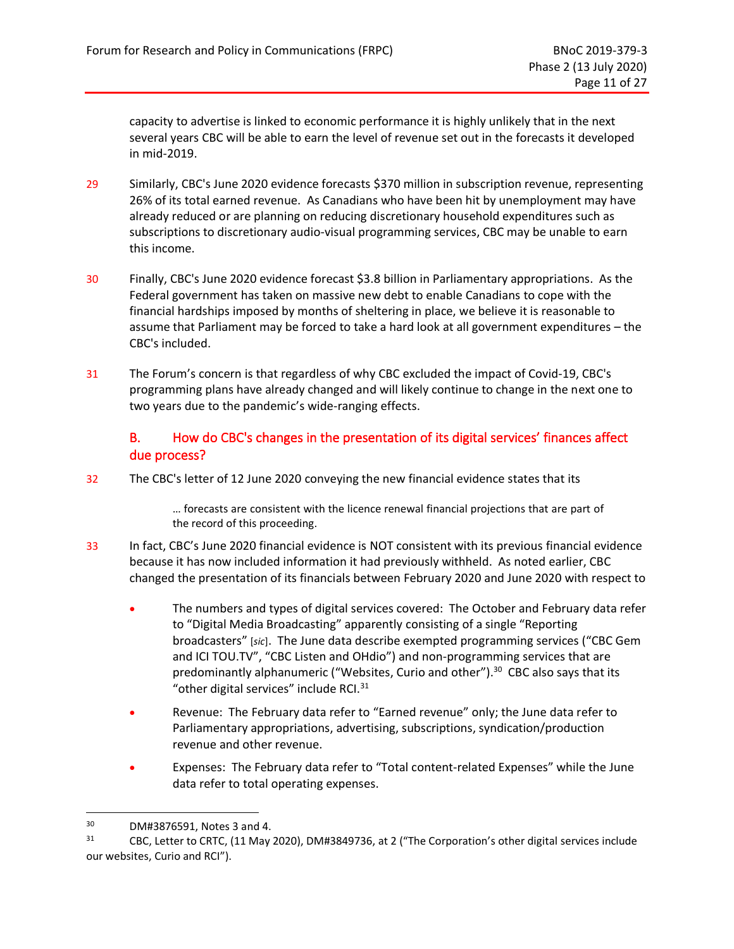capacity to advertise is linked to economic performance it is highly unlikely that in the next several years CBC will be able to earn the level of revenue set out in the forecasts it developed in mid-2019.

- 29 Similarly, CBC's June 2020 evidence forecasts \$370 million in subscription revenue, representing 26% of its total earned revenue. As Canadians who have been hit by unemployment may have already reduced or are planning on reducing discretionary household expenditures such as subscriptions to discretionary audio-visual programming services, CBC may be unable to earn this income.
- 30 Finally, CBC's June 2020 evidence forecast \$3.8 billion in Parliamentary appropriations. As the Federal government has taken on massive new debt to enable Canadians to cope with the financial hardships imposed by months of sheltering in place, we believe it is reasonable to assume that Parliament may be forced to take a hard look at all government expenditures – the CBC's included.
- 31 The Forum's concern is that regardless of why CBC excluded the impact of Covid-19, CBC's programming plans have already changed and will likely continue to change in the next one to two years due to the pandemic's wide-ranging effects.

## B. How do CBC's changes in the presentation of its digital services' finances affect due process?

<span id="page-19-0"></span>32 The CBC's letter of 12 June 2020 conveying the new financial evidence states that its

… forecasts are consistent with the licence renewal financial projections that are part of the record of this proceeding.

- 33 In fact, CBC's June 2020 financial evidence is NOT consistent with its previous financial evidence because it has now included information it had previously withheld. As noted earlier, CBC changed the presentation of its financials between February 2020 and June 2020 with respect to
	- The numbers and types of digital services covered: The October and February data refer to "Digital Media Broadcasting" apparently consisting of a single "Reporting broadcasters" [*sic*]. The June data describe exempted programming services ("CBC Gem and ICI TOU.TV", "CBC Listen and OHdio") and non-programming services that are predominantly alphanumeric ("Websites, Curio and other"). 30 CBC also says that its "other digital services" include RCI. $31$
	- Revenue: The February data refer to "Earned revenue" only; the June data refer to Parliamentary appropriations, advertising, subscriptions, syndication/production revenue and other revenue.
	- Expenses: The February data refer to "Total content-related Expenses" while the June data refer to total operating expenses.

 $30$  DM#3876591, Notes 3 and 4.<br> $31$  CBC Letter to CBTC (11 May)

CBC, Letter to CRTC, (11 May 2020), DM#3849736, at 2 ("The Corporation's other digital services include our websites, Curio and RCI").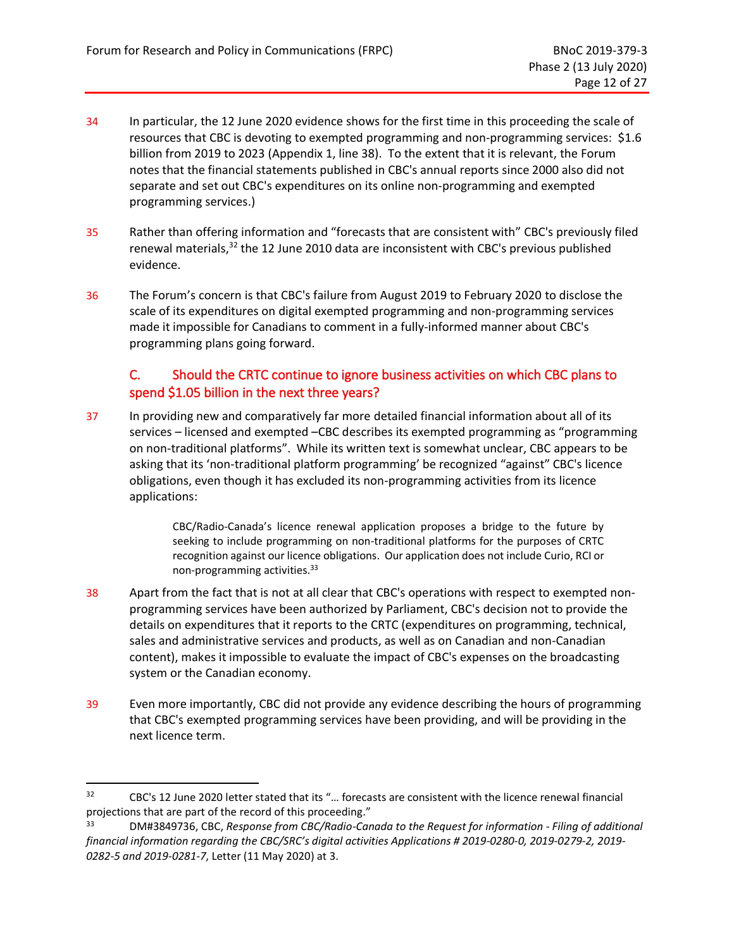- 34 In particular, the 12 June 2020 evidence shows for the first time in this proceeding the scale of resources that CBC is devoting to exempted programming and non-programming services: \$1.6 billion from 2019 to 2023 [\(Appendix 1,](#page-37-0) line 38). To the extent that it is relevant, the Forum notes that the financial statements published in CBC's annual reports since 2000 also did not separate and set out CBC's expenditures on its online non-programming and exempted programming services.)
- 35 Rather than offering information and "forecasts that are consistent with" CBC's previously filed renewal materials,<sup>32</sup> the 12 June 2010 data are inconsistent with CBC's previous published evidence.
- 36 The Forum's concern is that CBC's failure from August 2019 to February 2020 to disclose the scale of its expenditures on digital exempted programming and non-programming services made it impossible for Canadians to comment in a fully-informed manner about CBC's programming plans going forward.

## <span id="page-20-0"></span>C. Should the CRTC continue to ignore business activities on which CBC plans to spend \$1.05 billion in the next three years?

37 In providing new and comparatively far more detailed financial information about all of its services – licensed and exempted –CBC describes its exempted programming as "programming on non-traditional platforms". While its written text is somewhat unclear, CBC appears to be asking that its 'non-traditional platform programming' be recognized "against" CBC's licence obligations, even though it has excluded its non-programming activities from its licence applications:

> CBC/Radio-Canada's licence renewal application proposes a bridge to the future by seeking to include programming on non-traditional platforms for the purposes of CRTC recognition against our licence obligations. Our application does not include Curio, RCI or non-programming activities.<sup>33</sup>

- 38 Apart from the fact that is not at all clear that CBC's operations with respect to exempted nonprogramming services have been authorized by Parliament, CBC's decision not to provide the details on expenditures that it reports to the CRTC (expenditures on programming, technical, sales and administrative services and products, as well as on Canadian and non-Canadian content), makes it impossible to evaluate the impact of CBC's expenses on the broadcasting system or the Canadian economy.
- 39 Even more importantly, CBC did not provide any evidence describing the hours of programming that CBC's exempted programming services have been providing, and will be providing in the next licence term.

<sup>32</sup> CBC's 12 June 2020 letter stated that its "… forecasts are consistent with the licence renewal financial projections that are part of the record of this proceeding."

<sup>33</sup> DM#3849736, CBC, *Response from CBC/Radio-Canada to the Request for information - Filing of additional financial information regarding the CBC/SRC's digital activities Applications # 2019-0280-0, 2019-0279-2, 2019- 0282-5 and 2019-0281-7*, Letter (11 May 2020) at 3.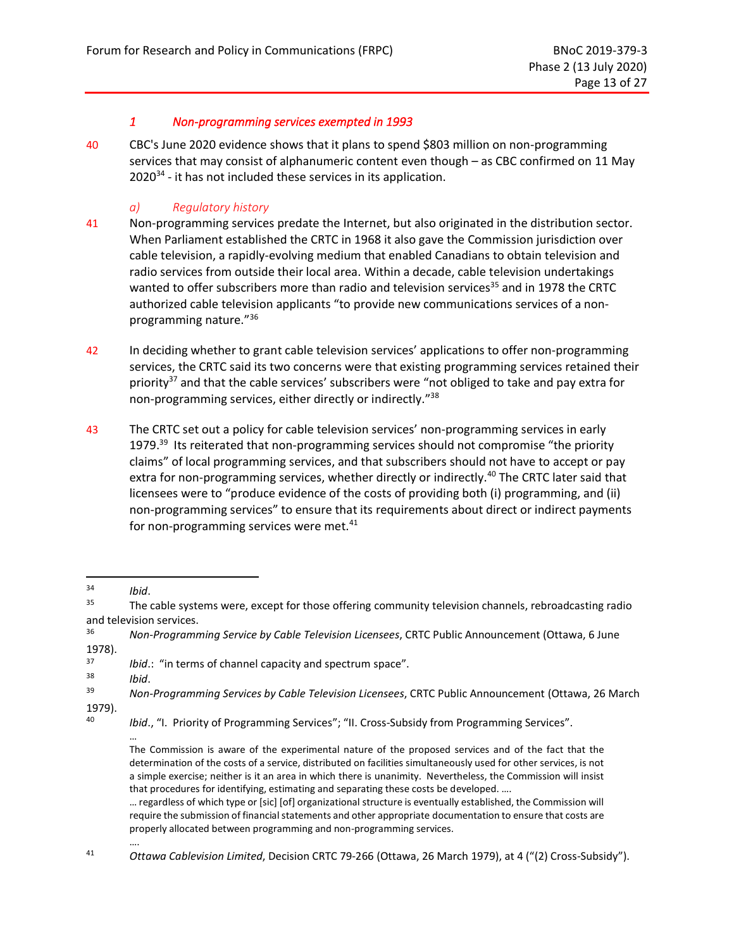#### *1 Non-programming services exempted in 1993*

<span id="page-21-0"></span>40 CBC's June 2020 evidence shows that it plans to spend \$803 million on non-programming services that may consist of alphanumeric content even though – as CBC confirmed on 11 May 2020<sup>34</sup> - it has not included these services in its application.

## *a) Regulatory history*

- <span id="page-21-1"></span>41 Non-programming services predate the Internet, but also originated in the distribution sector. When Parliament established the CRTC in 1968 it also gave the Commission jurisdiction over cable television, a rapidly-evolving medium that enabled Canadians to obtain television and radio services from outside their local area. Within a decade, cable television undertakings wanted to offer subscribers more than radio and television services<sup>35</sup> and in 1978 the CRTC authorized cable television applicants "to provide new communications services of a nonprogramming nature." 36
- 42 In deciding whether to grant cable television services' applications to offer non-programming services, the CRTC said its two concerns were that existing programming services retained their priority $37$  and that the cable services' subscribers were "not obliged to take and pay extra for non-programming services, either directly or indirectly."<sup>38</sup>
- 43 The CRTC set out a policy for cable television services' non-programming services in early 1979.<sup>39</sup> Its reiterated that non-programming services should not compromise "the priority claims" of local programming services, and that subscribers should not have to accept or pay extra for non-programming services, whether directly or indirectly.<sup>40</sup> The CRTC later said that licensees were to "produce evidence of the costs of providing both (i) programming, and (ii) non-programming services" to ensure that its requirements about direct or indirect payments for non-programming services were met. $41$

….

 $\frac{34}{35}$  *Ibid.* 

The cable systems were, except for those offering community television channels, rebroadcasting radio and television services.

<sup>36</sup> *Non-Programming Service by Cable Television Licensees*, CRTC Public Announcement (Ottawa, 6 June 1978).

<sup>37</sup> *Ibid*.: "in terms of channel capacity and spectrum space".

<sup>38</sup> *Ibid*.

<sup>39</sup> *Non-Programming Services by Cable Television Licensees*, CRTC Public Announcement (Ottawa, 26 March 1979).

<sup>40</sup> *Ibid*., "I. Priority of Programming Services"; "II. Cross-Subsidy from Programming Services".

<sup>…</sup> The Commission is aware of the experimental nature of the proposed services and of the fact that the determination of the costs of a service, distributed on facilities simultaneously used for other services, is not a simple exercise; neither is it an area in which there is unanimity. Nevertheless, the Commission will insist that procedures for identifying, estimating and separating these costs be developed. ….

<sup>…</sup> regardless of which type or [sic] [of] organizational structure is eventually established, the Commission will require the submission of financial statements and other appropriate documentation to ensure that costs are properly allocated between programming and non-programming services.

<sup>41</sup> *Ottawa Cablevision Limited*, Decision CRTC 79-266 (Ottawa, 26 March 1979), at 4 ("(2) Cross-Subsidy").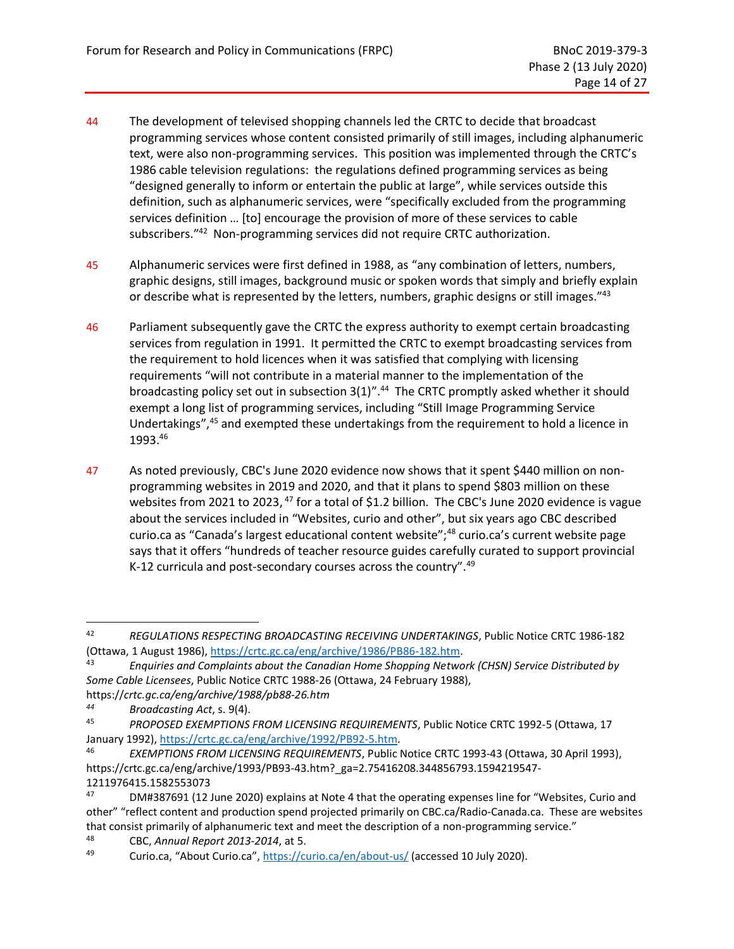- 44 The development of televised shopping channels led the CRTC to decide that broadcast programming services whose content consisted primarily of still images, including alphanumeric text, were also non-programming services. This position was implemented through the CRTC's 1986 cable television regulations: the regulations defined programming services as being "designed generally to inform or entertain the public at large", while services outside this definition, such as alphanumeric services, were "specifically excluded from the programming services definition … [to] encourage the provision of more of these services to cable subscribers." 42 Non-programming services did not require CRTC authorization.
- 45 Alphanumeric services were first defined in 1988, as "any combination of letters, numbers, graphic designs, still images, background music or spoken words that simply and briefly explain or describe what is represented by the letters, numbers, graphic designs or still images."<sup>43</sup>
- 46 Parliament subsequently gave the CRTC the express authority to exempt certain broadcasting services from regulation in 1991. It permitted the CRTC to exempt broadcasting services from the requirement to hold licences when it was satisfied that complying with licensing requirements "will not contribute in a material manner to the implementation of the broadcasting policy set out in subsection 3(1)".<sup>44</sup> The CRTC promptly asked whether it should exempt a long list of programming services, including "Still Image Programming Service Undertakings",<sup>45</sup> and exempted these undertakings from the requirement to hold a licence in 1993.<sup>46</sup>
- 47 As noted previously, CBC's June 2020 evidence now shows that it spent \$440 million on nonprogramming websites in 2019 and 2020, and that it plans to spend \$803 million on these websites from 2021 to 2023, <sup>47</sup> for a total of \$1.2 billion. The CBC's June 2020 evidence is vague about the services included in "Websites, curio and other", but six years ago CBC described curio.ca as "Canada's largest educational content website"; <sup>48</sup> curio.ca's current website page says that it offers "hundreds of teacher resource guides carefully curated to support provincial K-12 curricula and post-secondary courses across the country".<sup>49</sup>

<sup>42</sup> *REGULATIONS RESPECTING BROADCASTING RECEIVING UNDERTAKINGS*, Public Notice CRTC 1986-182 (Ottawa, 1 August 1986), [https://crtc.gc.ca/eng/archive/1986/PB86-182.htm.](https://crtc.gc.ca/eng/archive/1986/PB86-182.htm)

<sup>43</sup> *Enquiries and Complaints about the Canadian Home Shopping Network (CHSN) Service Distributed by Some Cable Licensees*, Public Notice CRTC 1988-26 (Ottawa, 24 February 1988),

https://*crtc.gc.ca/eng/archive/1988/pb88-26.htm*

*<sup>44</sup> Broadcasting Act*, s. 9(4).

<sup>45</sup> *PROPOSED EXEMPTIONS FROM LICENSING REQUIREMENTS*, Public Notice CRTC 1992-5 (Ottawa, 17 January 1992)[, https://crtc.gc.ca/eng/archive/1992/PB92-5.htm.](https://crtc.gc.ca/eng/archive/1992/PB92-5.htm)

<sup>46</sup> *EXEMPTIONS FROM LICENSING REQUIREMENTS*, Public Notice CRTC 1993-43 (Ottawa, 30 April 1993), https://crtc.gc.ca/eng/archive/1993/PB93-43.htm?\_ga=2.75416208.344856793.1594219547- 1211976415.1582553073

<sup>47</sup> DM#387691 (12 June 2020) explains at Note 4 that the operating expenses line for "Websites, Curio and other" "reflect content and production spend projected primarily on CBC.ca/Radio-Canada.ca. These are websites that consist primarily of alphanumeric text and meet the description of a non-programming service."

<sup>48</sup> CBC, *Annual Report 2013-2014*, at 5.

<sup>&</sup>lt;sup>49</sup> Curio.ca, "About Curio.ca", <https://curio.ca/en/about-us/> (accessed 10 July 2020).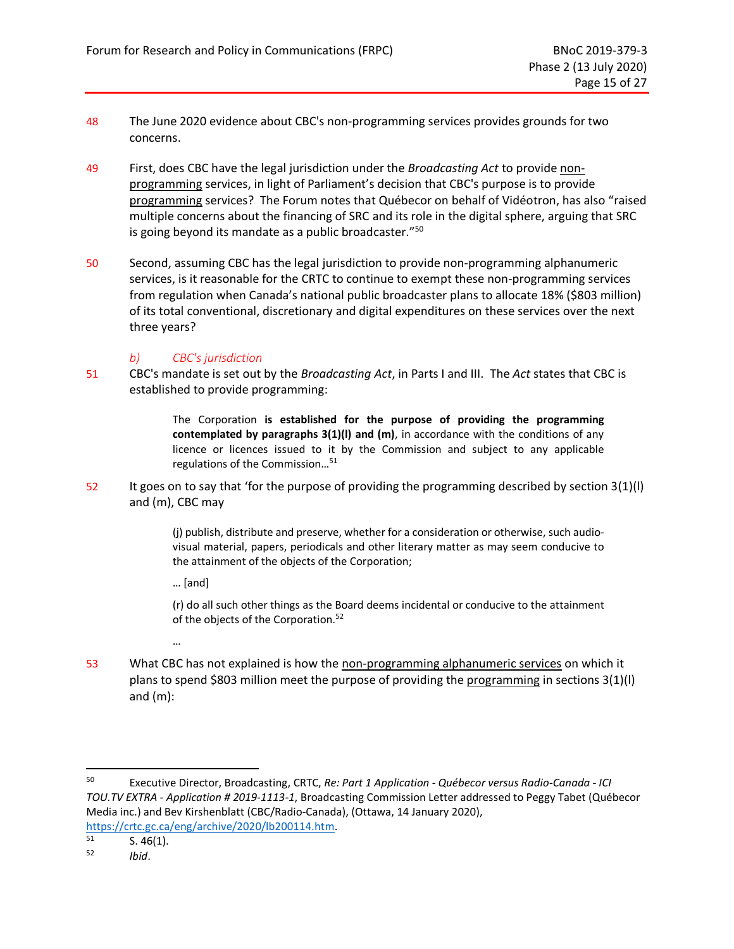- 48 The June 2020 evidence about CBC's non-programming services provides grounds for two concerns.
- 49 First, does CBC have the legal jurisdiction under the *Broadcasting Act* to provide nonprogramming services, in light of Parliament's decision that CBC's purpose is to provide programming services? The Forum notes that Québecor on behalf of Vidéotron, has also "raised multiple concerns about the financing of SRC and its role in the digital sphere, arguing that SRC is going beyond its mandate as a public broadcaster." 50
- 50 Second, assuming CBC has the legal jurisdiction to provide non-programming alphanumeric services, is it reasonable for the CRTC to continue to exempt these non-programming services from regulation when Canada's national public broadcaster plans to allocate 18% (\$803 million) of its total conventional, discretionary and digital expenditures on these services over the next three years?

#### *b) CBC's jurisdiction*

<span id="page-23-0"></span>51 CBC's mandate is set out by the *Broadcasting Act*, in Parts I and III. The *Act* states that CBC is established to provide programming:

> The Corporation **is established for the purpose of providing the programming contemplated by paragraphs 3(1)(l) and (m)**, in accordance with the conditions of any licence or licences issued to it by the Commission and subject to any applicable regulations of the Commission… 51

52 It goes on to say that 'for the purpose of providing the programming described by section 3(1)(l) and (m), CBC may

> (j) publish, distribute and preserve, whether for a consideration or otherwise, such audiovisual material, papers, periodicals and other literary matter as may seem conducive to the attainment of the objects of the Corporation;

… [and]

…

(r) do all such other things as the Board deems incidental or conducive to the attainment of the objects of the Corporation.<sup>52</sup>

53 What CBC has not explained is how the non-programming alphanumeric services on which it plans to spend \$803 million meet the purpose of providing the programming in sections 3(1)(l) and (m):

<sup>50</sup> Executive Director, Broadcasting, CRTC, *Re: Part 1 Application - Québecor versus Radio-Canada - ICI TOU.TV EXTRA - Application # 2019-1113-1*, Broadcasting Commission Letter addressed to Peggy Tabet (Québecor Media inc.) and Bev Kirshenblatt (CBC/Radio-Canada), (Ottawa, 14 January 2020),

[https://crtc.gc.ca/eng/archive/2020/lb200114.htm.](https://crtc.gc.ca/eng/archive/2020/lb200114.htm)<br>51 S 46(1)

 $S. 46(1).$ 

<sup>52</sup> *Ibid*.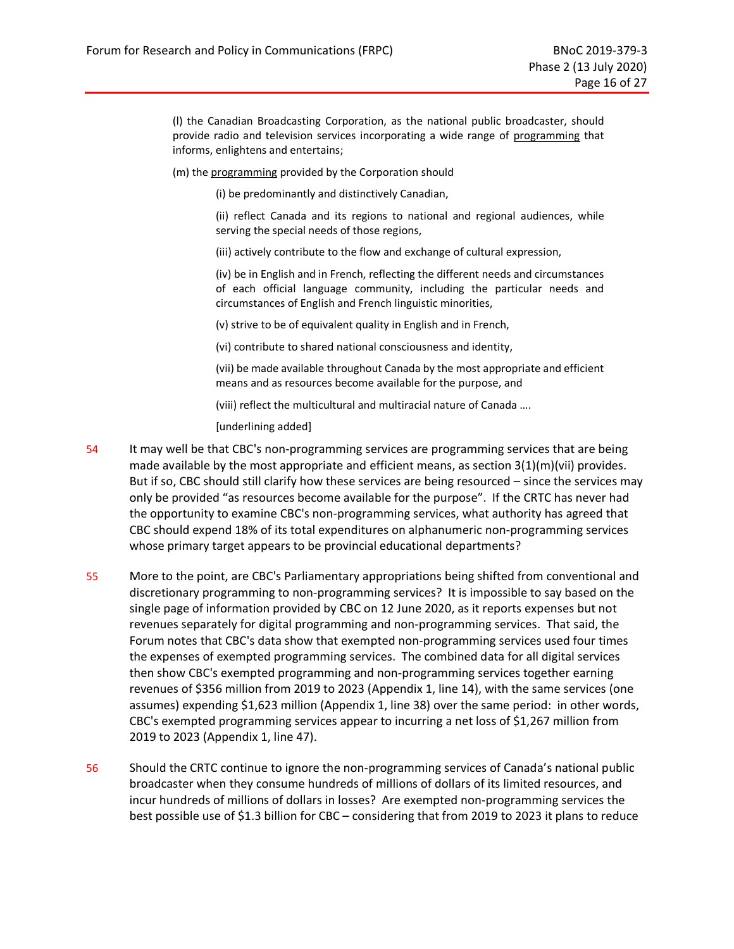(l) the Canadian Broadcasting Corporation, as the national public broadcaster, should provide radio and television services incorporating a wide range of programming that informs, enlightens and entertains;

(m) the programming provided by the Corporation should

(i) be predominantly and distinctively Canadian,

(ii) reflect Canada and its regions to national and regional audiences, while serving the special needs of those regions,

(iii) actively contribute to the flow and exchange of cultural expression,

(iv) be in English and in French, reflecting the different needs and circumstances of each official language community, including the particular needs and circumstances of English and French linguistic minorities,

(v) strive to be of equivalent quality in English and in French,

(vi) contribute to shared national consciousness and identity,

(vii) be made available throughout Canada by the most appropriate and efficient means and as resources become available for the purpose, and

(viii) reflect the multicultural and multiracial nature of Canada ….

[underlining added]

- 54 It may well be that CBC's non-programming services are programming services that are being made available by the most appropriate and efficient means, as section  $3(1)(m)(vii)$  provides. But if so, CBC should still clarify how these services are being resourced – since the services may only be provided "as resources become available for the purpose". If the CRTC has never had the opportunity to examine CBC's non-programming services, what authority has agreed that CBC should expend 18% of its total expenditures on alphanumeric non-programming services whose primary target appears to be provincial educational departments?
- 55 More to the point, are CBC's Parliamentary appropriations being shifted from conventional and discretionary programming to non-programming services? It is impossible to say based on the single page of information provided by CBC on 12 June 2020, as it reports expenses but not revenues separately for digital programming and non-programming services. That said, the Forum notes that CBC's data show that exempted non-programming services used four times the expenses of exempted programming services. The combined data for all digital services then show CBC's exempted programming and non-programming services together earning revenues of \$356 million from 2019 to 2023 [\(Appendix 1,](#page-37-0) line 14), with the same services (one assumes) expending \$1,623 million [\(Appendix 1,](#page-37-0) line 38) over the same period: in other words, CBC's exempted programming services appear to incurring a net loss of \$1,267 million from 2019 to 2023 [\(Appendix 1,](#page-37-0) line 47).
- 56 Should the CRTC continue to ignore the non-programming services of Canada's national public broadcaster when they consume hundreds of millions of dollars of its limited resources, and incur hundreds of millions of dollars in losses? Are exempted non-programming services the best possible use of \$1.3 billion for CBC – considering that from 2019 to 2023 it plans to reduce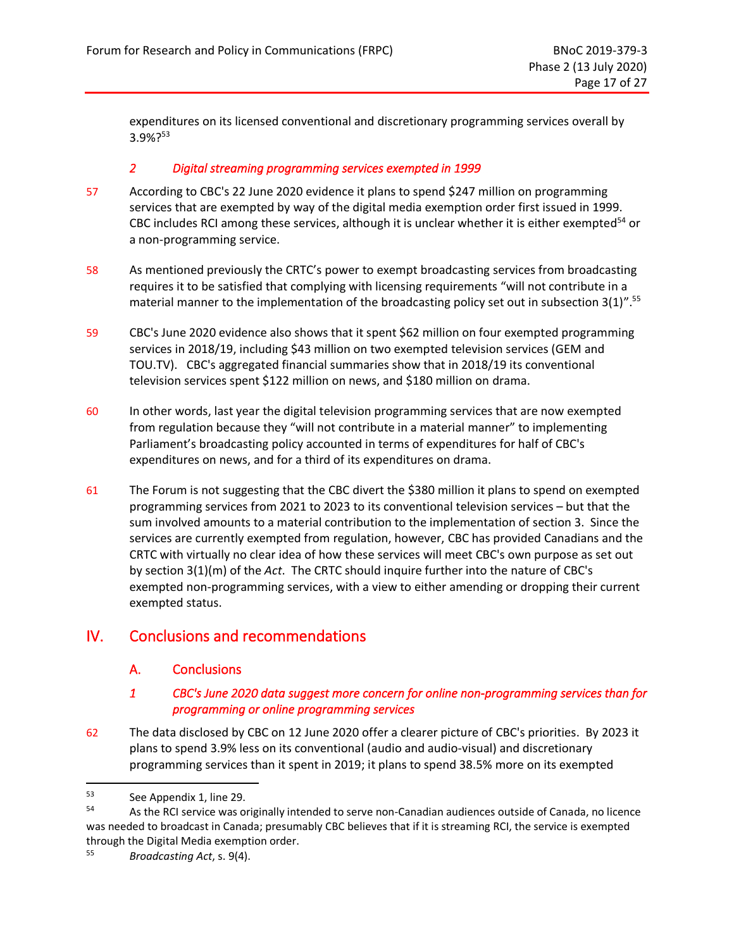expenditures on its licensed conventional and discretionary programming services overall by 3.9%? 53

#### *2 Digital streaming programming services exempted in 1999*

- <span id="page-25-0"></span>57 According to CBC's 22 June 2020 evidence it plans to spend \$247 million on programming services that are exempted by way of the digital media exemption order first issued in 1999. CBC includes RCI among these services, although it is unclear whether it is either exempted<sup>54</sup> or a non-programming service.
- 58 As mentioned previously the CRTC's power to exempt broadcasting services from broadcasting requires it to be satisfied that complying with licensing requirements "will not contribute in a material manner to the implementation of the broadcasting policy set out in subsection 3(1)".<sup>55</sup>
- 59 CBC's June 2020 evidence also shows that it spent \$62 million on four exempted programming services in 2018/19, including \$43 million on two exempted television services (GEM and TOU.TV). CBC's aggregated financial summaries show that in 2018/19 its conventional television services spent \$122 million on news, and \$180 million on drama.
- 60 In other words, last year the digital television programming services that are now exempted from regulation because they "will not contribute in a material manner" to implementing Parliament's broadcasting policy accounted in terms of expenditures for half of CBC's expenditures on news, and for a third of its expenditures on drama.
- 61 The Forum is not suggesting that the CBC divert the \$380 million it plans to spend on exempted programming services from 2021 to 2023 to its conventional television services – but that the sum involved amounts to a material contribution to the implementation of section 3. Since the services are currently exempted from regulation, however, CBC has provided Canadians and the CRTC with virtually no clear idea of how these services will meet CBC's own purpose as set out by section 3(1)(m) of the *Act*. The CRTC should inquire further into the nature of CBC's exempted non-programming services, with a view to either amending or dropping their current exempted status.

## <span id="page-25-2"></span><span id="page-25-1"></span>IV. Conclusions and recommendations

## A. Conclusions

#### *1 CBC's June 2020 data suggest more concern for online non-programming services than for programming or online programming services*

<span id="page-25-3"></span>62 The data disclosed by CBC on 12 June 2020 offer a clearer picture of CBC's priorities. By 2023 it plans to spend 3.9% less on its conventional (audio and audio-visual) and discretionary programming services than it spent in 2019; it plans to spend 38.5% more on its exempted

 $53$  See Appendix 1, line 29.<br> $54$  As the BCI service was of

As the RCI service was originally intended to serve non-Canadian audiences outside of Canada, no licence was needed to broadcast in Canada; presumably CBC believes that if it is streaming RCI, the service is exempted through the Digital Media exemption order.

<sup>55</sup> *Broadcasting Act*, s. 9(4).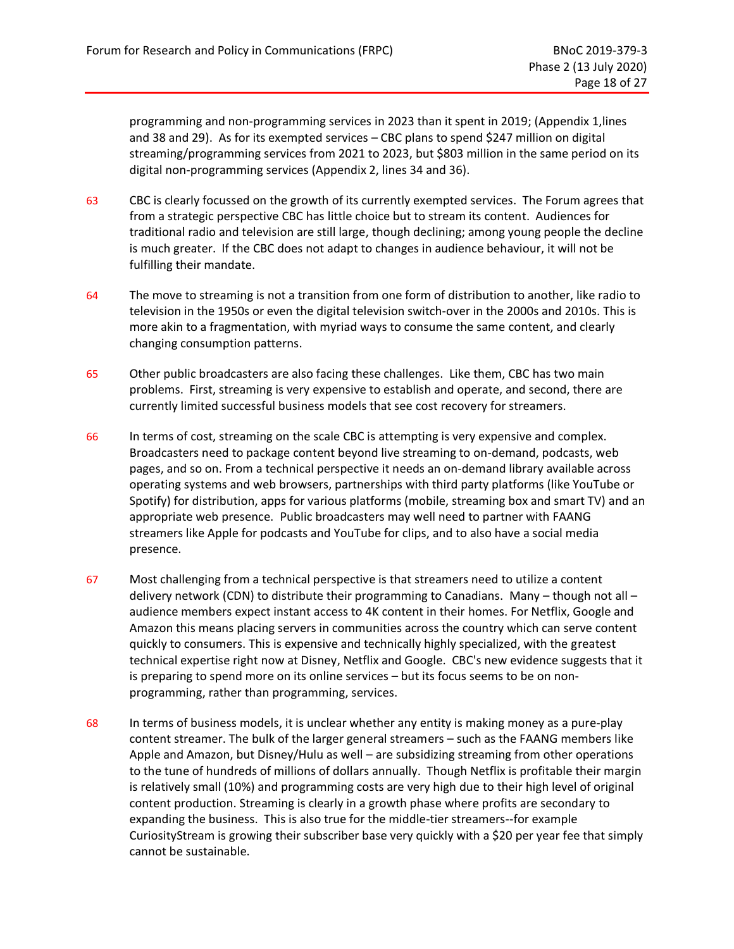programming and non-programming services in 2023 than it spent in 2019; (Appendix 1,lines and 38 and 29). As for its exempted services – CBC plans to spend \$247 million on digital streaming/programming services from 2021 to 2023, but \$803 million in the same period on its digital non-programming services (Appendix 2, lines 34 and 36).

- 63 CBC is clearly focussed on the growth of its currently exempted services. The Forum agrees that from a strategic perspective CBC has little choice but to stream its content. Audiences for traditional radio and television are still large, though declining; among young people the decline is much greater. If the CBC does not adapt to changes in audience behaviour, it will not be fulfilling their mandate.
- 64 The move to streaming is not a transition from one form of distribution to another, like radio to television in the 1950s or even the digital television switch-over in the 2000s and 2010s. This is more akin to a fragmentation, with myriad ways to consume the same content, and clearly changing consumption patterns.
- 65 Other public broadcasters are also facing these challenges. Like them, CBC has two main problems. First, streaming is very expensive to establish and operate, and second, there are currently limited successful business models that see cost recovery for streamers.
- 66 In terms of cost, streaming on the scale CBC is attempting is very expensive and complex. Broadcasters need to package content beyond live streaming to on-demand, podcasts, web pages, and so on. From a technical perspective it needs an on-demand library available across operating systems and web browsers, partnerships with third party platforms (like YouTube or Spotify) for distribution, apps for various platforms (mobile, streaming box and smart TV) and an appropriate web presence. Public broadcasters may well need to partner with FAANG streamers like Apple for podcasts and YouTube for clips, and to also have a social media presence.
- 67 Most challenging from a technical perspective is that streamers need to utilize a content delivery network (CDN) to distribute their programming to Canadians. Many – though not all – audience members expect instant access to 4K content in their homes. For Netflix, Google and Amazon this means placing servers in communities across the country which can serve content quickly to consumers. This is expensive and technically highly specialized, with the greatest technical expertise right now at Disney, Netflix and Google. CBC's new evidence suggests that it is preparing to spend more on its online services – but its focus seems to be on nonprogramming, rather than programming, services.
- 68 In terms of business models, it is unclear whether any entity is making money as a pure-play content streamer. The bulk of the larger general streamers – such as the FAANG members like Apple and Amazon, but Disney/Hulu as well – are subsidizing streaming from other operations to the tune of hundreds of millions of dollars annually. Though Netflix is profitable their margin is relatively small (10%) and programming costs are very high due to their high level of original content production. Streaming is clearly in a growth phase where profits are secondary to expanding the business. This is also true for the middle-tier streamers--for example CuriosityStream is growing their subscriber base very quickly with a \$20 per year fee that simply cannot be sustainable.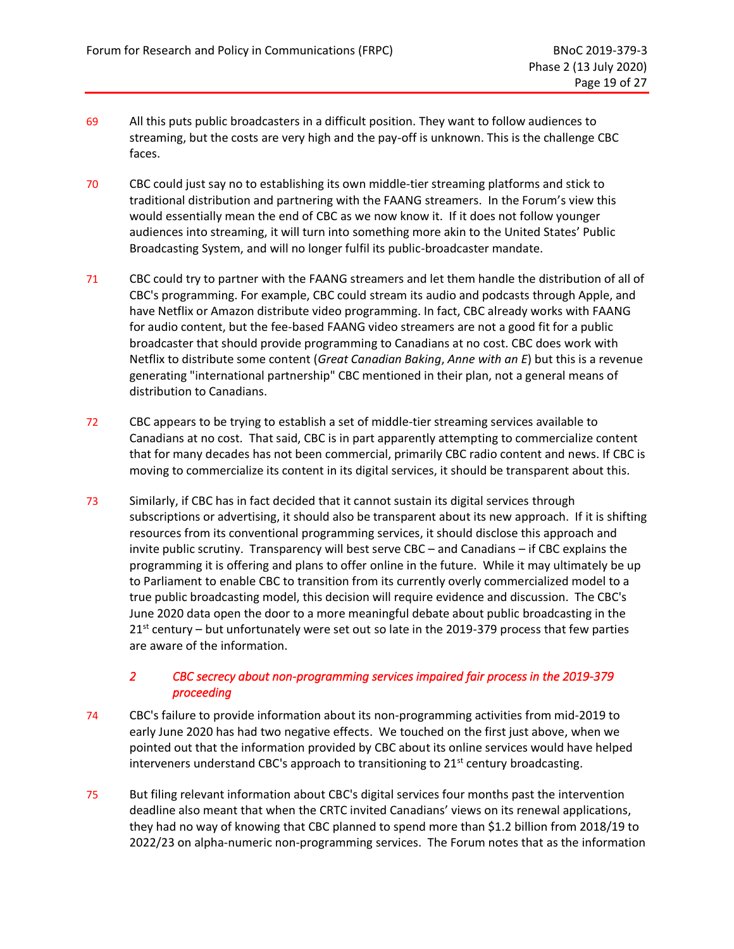- 69 All this puts public broadcasters in a difficult position. They want to follow audiences to streaming, but the costs are very high and the pay-off is unknown. This is the challenge CBC faces.
- 70 CBC could just say no to establishing its own middle-tier streaming platforms and stick to traditional distribution and partnering with the FAANG streamers. In the Forum's view this would essentially mean the end of CBC as we now know it. If it does not follow younger audiences into streaming, it will turn into something more akin to the United States' Public Broadcasting System, and will no longer fulfil its public-broadcaster mandate.
- 71 CBC could try to partner with the FAANG streamers and let them handle the distribution of all of CBC's programming. For example, CBC could stream its audio and podcasts through Apple, and have Netflix or Amazon distribute video programming. In fact, CBC already works with FAANG for audio content, but the fee-based FAANG video streamers are not a good fit for a public broadcaster that should provide programming to Canadians at no cost. CBC does work with Netflix to distribute some content (*Great Canadian Baking*, *Anne with an E*) but this is a revenue generating "international partnership" CBC mentioned in their plan, not a general means of distribution to Canadians.
- 72 CBC appears to be trying to establish a set of middle-tier streaming services available to Canadians at no cost. That said, CBC is in part apparently attempting to commercialize content that for many decades has not been commercial, primarily CBC radio content and news. If CBC is moving to commercialize its content in its digital services, it should be transparent about this.
- 73 Similarly, if CBC has in fact decided that it cannot sustain its digital services through subscriptions or advertising, it should also be transparent about its new approach. If it is shifting resources from its conventional programming services, it should disclose this approach and invite public scrutiny. Transparency will best serve CBC – and Canadians – if CBC explains the programming it is offering and plans to offer online in the future. While it may ultimately be up to Parliament to enable CBC to transition from its currently overly commercialized model to a true public broadcasting model, this decision will require evidence and discussion. The CBC's June 2020 data open the door to a more meaningful debate about public broadcasting in the  $21<sup>st</sup>$  century – but unfortunately were set out so late in the 2019-379 process that few parties are aware of the information.

## *2 CBC secrecy about non-programming services impaired fair process in the 2019-379 proceeding*

- <span id="page-27-0"></span>74 CBC's failure to provide information about its non-programming activities from mid-2019 to early June 2020 has had two negative effects. We touched on the first just above, when we pointed out that the information provided by CBC about its online services would have helped interveners understand CBC's approach to transitioning to 21<sup>st</sup> century broadcasting.
- 75 But filing relevant information about CBC's digital services four months past the intervention deadline also meant that when the CRTC invited Canadians' views on its renewal applications, they had no way of knowing that CBC planned to spend more than \$1.2 billion from 2018/19 to 2022/23 on alpha-numeric non-programming services. The Forum notes that as the information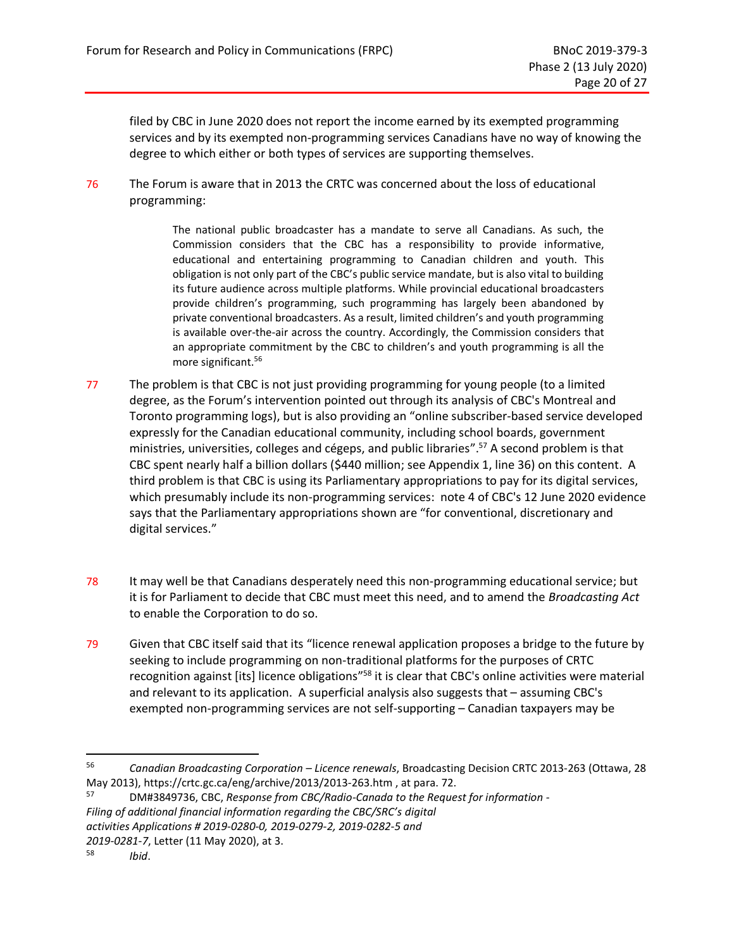filed by CBC in June 2020 does not report the income earned by its exempted programming services and by its exempted non-programming services Canadians have no way of knowing the degree to which either or both types of services are supporting themselves.

76 The Forum is aware that in 2013 the CRTC was concerned about the loss of educational programming:

> The national public broadcaster has a mandate to serve all Canadians. As such, the Commission considers that the CBC has a responsibility to provide informative, educational and entertaining programming to Canadian children and youth. This obligation is not only part of the CBC's public service mandate, but is also vital to building its future audience across multiple platforms. While provincial educational broadcasters provide children's programming, such programming has largely been abandoned by private conventional broadcasters. As a result, limited children's and youth programming is available over-the-air across the country. Accordingly, the Commission considers that an appropriate commitment by the CBC to children's and youth programming is all the more significant.<sup>56</sup>

- 77 The problem is that CBC is not just providing programming for young people (to a limited degree, as the Forum's intervention pointed out through its analysis of CBC's Montreal and Toronto programming logs), but is also providing an "online subscriber-based service developed expressly for the Canadian educational community, including school boards, government ministries, universities, colleges and cégeps, and public libraries". <sup>57</sup> A second problem is that CBC spent nearly half a billion dollars (\$440 million; se[e Appendix 1,](#page-37-0) line 36) on this content. A third problem is that CBC is using its Parliamentary appropriations to pay for its digital services, which presumably include its non-programming services: note 4 of CBC's 12 June 2020 evidence says that the Parliamentary appropriations shown are "for conventional, discretionary and digital services."
- 78 It may well be that Canadians desperately need this non-programming educational service; but it is for Parliament to decide that CBC must meet this need, and to amend the *Broadcasting Act* to enable the Corporation to do so.
- 79 Given that CBC itself said that its "licence renewal application proposes a bridge to the future by seeking to include programming on non-traditional platforms for the purposes of CRTC recognition against [its] licence obligations<sup>"58</sup> it is clear that CBC's online activities were material and relevant to its application. A superficial analysis also suggests that – assuming CBC's exempted non-programming services are not self-supporting – Canadian taxpayers may be

<sup>56</sup> *Canadian Broadcasting Corporation – Licence renewals*, Broadcasting Decision CRTC 2013-263 (Ottawa, 28 May 2013), https://crtc.gc.ca/eng/archive/2013/2013-263.htm , at para. 72.

<sup>57</sup> DM#3849736, CBC, *Response from CBC/Radio-Canada to the Request for information - Filing of additional financial information regarding the CBC/SRC's digital activities Applications # 2019-0280-0, 2019-0279-2, 2019-0282-5 and*

*<sup>2019-0281-7</sup>*, Letter (11 May 2020), at 3.

<sup>58</sup> *Ibid*.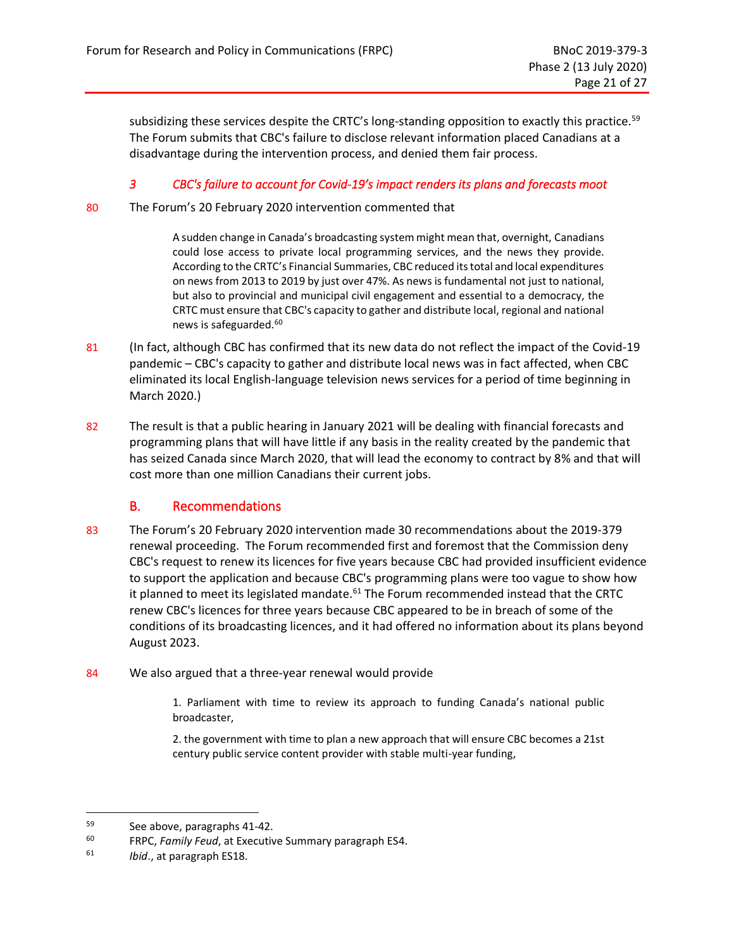subsidizing these services despite the CRTC's long-standing opposition to exactly this practice.<sup>59</sup> The Forum submits that CBC's failure to disclose relevant information placed Canadians at a disadvantage during the intervention process, and denied them fair process.

#### *3 CBC's failure to account for Covid-19's impact renders its plans and forecasts moot*

<span id="page-29-0"></span>80 The Forum's 20 February 2020 intervention commented that

A sudden change in Canada's broadcasting system might mean that, overnight, Canadians could lose access to private local programming services, and the news they provide. According to the CRTC's Financial Summaries, CBC reduced its total and local expenditures on news from 2013 to 2019 by just over 47%. As news is fundamental not just to national, but also to provincial and municipal civil engagement and essential to a democracy, the CRTC must ensure that CBC's capacity to gather and distribute local, regional and national news is safeguarded.<sup>60</sup>

- 81 (In fact, although CBC has confirmed that its new data do not reflect the impact of the Covid-19 pandemic – CBC's capacity to gather and distribute local news was in fact affected, when CBC eliminated its local English-language television news services for a period of time beginning in March 2020.)
- 82 The result is that a public hearing in January 2021 will be dealing with financial forecasts and programming plans that will have little if any basis in the reality created by the pandemic that has seized Canada since March 2020, that will lead the economy to contract by 8% and that will cost more than one million Canadians their current jobs.

## B. Recommendations

- <span id="page-29-1"></span>83 The Forum's 20 February 2020 intervention made 30 recommendations about the 2019-379 renewal proceeding. The Forum recommended first and foremost that the Commission deny CBC's request to renew its licences for five years because CBC had provided insufficient evidence to support the application and because CBC's programming plans were too vague to show how it planned to meet its legislated mandate. $61$  The Forum recommended instead that the CRTC renew CBC's licences for three years because CBC appeared to be in breach of some of the conditions of its broadcasting licences, and it had offered no information about its plans beyond August 2023.
- 84 We also argued that a three-year renewal would provide

1. Parliament with time to review its approach to funding Canada's national public broadcaster,

2. the government with time to plan a new approach that will ensure CBC becomes a 21st century public service content provider with stable multi-year funding,

<sup>&</sup>lt;sup>59</sup> See above, paragraphs 41-42.<br><sup>60</sup> ERPC *Family Feud* at Executive

FRPC, Family Feud, at Executive Summary paragraph ES4.

<sup>61</sup> *Ibid*., at paragraph ES18.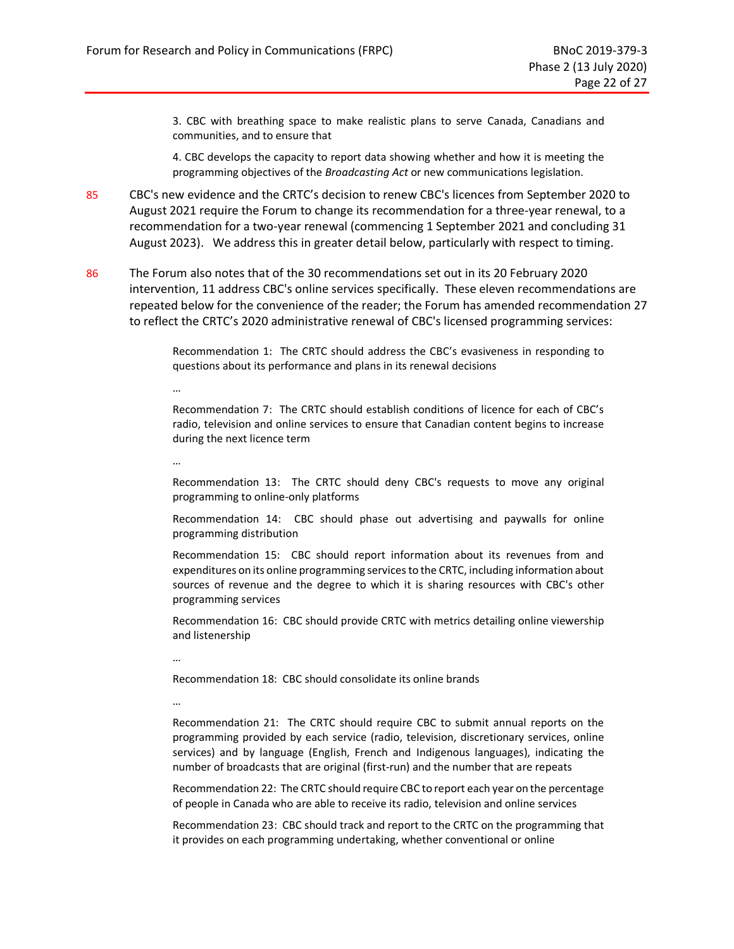3. CBC with breathing space to make realistic plans to serve Canada, Canadians and communities, and to ensure that

4. CBC develops the capacity to report data showing whether and how it is meeting the programming objectives of the *Broadcasting Act* or new communications legislation.

- 85 CBC's new evidence and the CRTC's decision to renew CBC's licences from September 2020 to August 2021 require the Forum to change its recommendation for a three-year renewal, to a recommendation for a two-year renewal (commencing 1 September 2021 and concluding 31 August 2023). We address this in greater detail below, particularly with respect to timing.
- 86 The Forum also notes that of the 30 recommendations set out in its 20 February 2020 intervention, 11 address CBC's online services specifically. These eleven recommendations are repeated below for the convenience of the reader; the Forum has amended recommendation 27 to reflect the CRTC's 2020 administrative renewal of CBC's licensed programming services:

Recommendation 1: The CRTC should address the CBC's evasiveness in responding to questions about its performance and plans in its renewal decisions

Recommendation 7: The CRTC should establish conditions of licence for each of CBC's radio, television and online services to ensure that Canadian content begins to increase during the next licence term

…

…

Recommendation 13: The CRTC should deny CBC's requests to move any original programming to online-only platforms

Recommendation 14: CBC should phase out advertising and paywalls for online programming distribution

Recommendation 15: CBC should report information about its revenues from and expenditures on its online programming servicesto the CRTC, including information about sources of revenue and the degree to which it is sharing resources with CBC's other programming services

Recommendation 16: CBC should provide CRTC with metrics detailing online viewership and listenership

…

Recommendation 18: CBC should consolidate its online brands

…

Recommendation 21: The CRTC should require CBC to submit annual reports on the programming provided by each service (radio, television, discretionary services, online services) and by language (English, French and Indigenous languages), indicating the number of broadcasts that are original (first-run) and the number that are repeats

Recommendation 22: The CRTC should require CBC to report each year on the percentage of people in Canada who are able to receive its radio, television and online services

Recommendation 23: CBC should track and report to the CRTC on the programming that it provides on each programming undertaking, whether conventional or online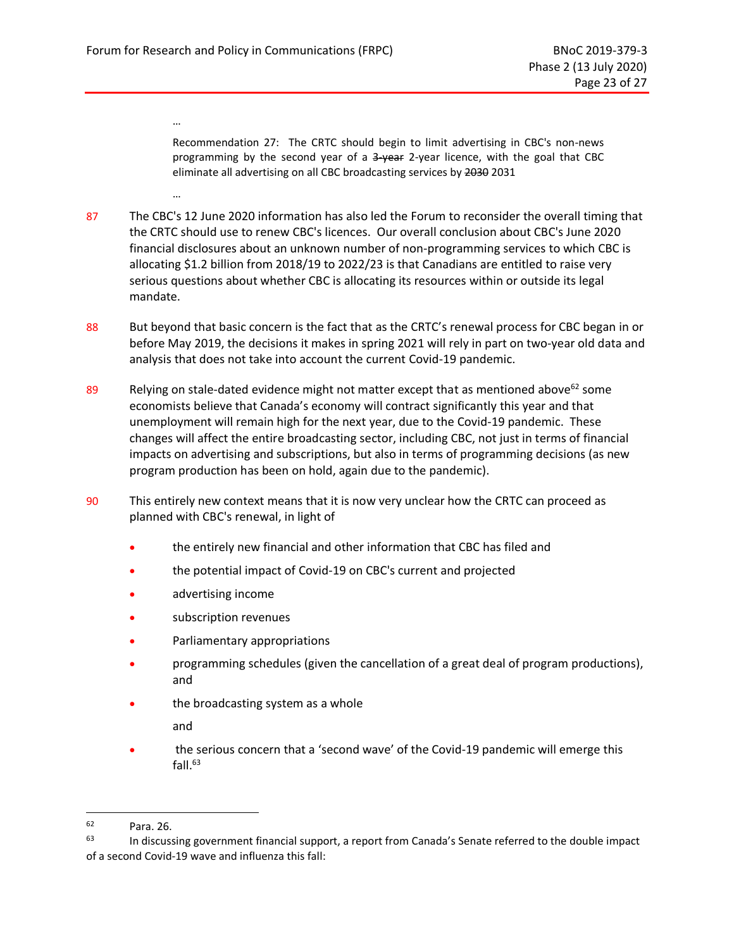…

…

Recommendation 27: The CRTC should begin to limit advertising in CBC's non-news programming by the second year of a 3-year 2-year licence, with the goal that CBC eliminate all advertising on all CBC broadcasting services by 2030 2031

- 87 The CBC's 12 June 2020 information has also led the Forum to reconsider the overall timing that the CRTC should use to renew CBC's licences. Our overall conclusion about CBC's June 2020 financial disclosures about an unknown number of non-programming services to which CBC is allocating \$1.2 billion from 2018/19 to 2022/23 is that Canadians are entitled to raise very serious questions about whether CBC is allocating its resources within or outside its legal mandate.
- 88 But beyond that basic concern is the fact that as the CRTC's renewal process for CBC began in or before May 2019, the decisions it makes in spring 2021 will rely in part on two-year old data and analysis that does not take into account the current Covid-19 pandemic.
- 89 Relying on stale-dated evidence might not matter except that as mentioned above<sup>62</sup> some economists believe that Canada's economy will contract significantly this year and that unemployment will remain high for the next year, due to the Covid-19 pandemic. These changes will affect the entire broadcasting sector, including CBC, not just in terms of financial impacts on advertising and subscriptions, but also in terms of programming decisions (as new program production has been on hold, again due to the pandemic).
- 90 This entirely new context means that it is now very unclear how the CRTC can proceed as planned with CBC's renewal, in light of
	- the entirely new financial and other information that CBC has filed and
	- the potential impact of Covid-19 on CBC's current and projected
	- advertising income
	- subscription revenues
	- Parliamentary appropriations
	- programming schedules (given the cancellation of a great deal of program productions), and
	- the broadcasting system as a whole

and

• the serious concern that a 'second wave' of the Covid-19 pandemic will emerge this fall. $63$ 

 $\begin{array}{r} 62 \\ 63 \end{array}$  Para. 26.

In discussing government financial support, a report from Canada's Senate referred to the double impact of a second Covid-19 wave and influenza this fall: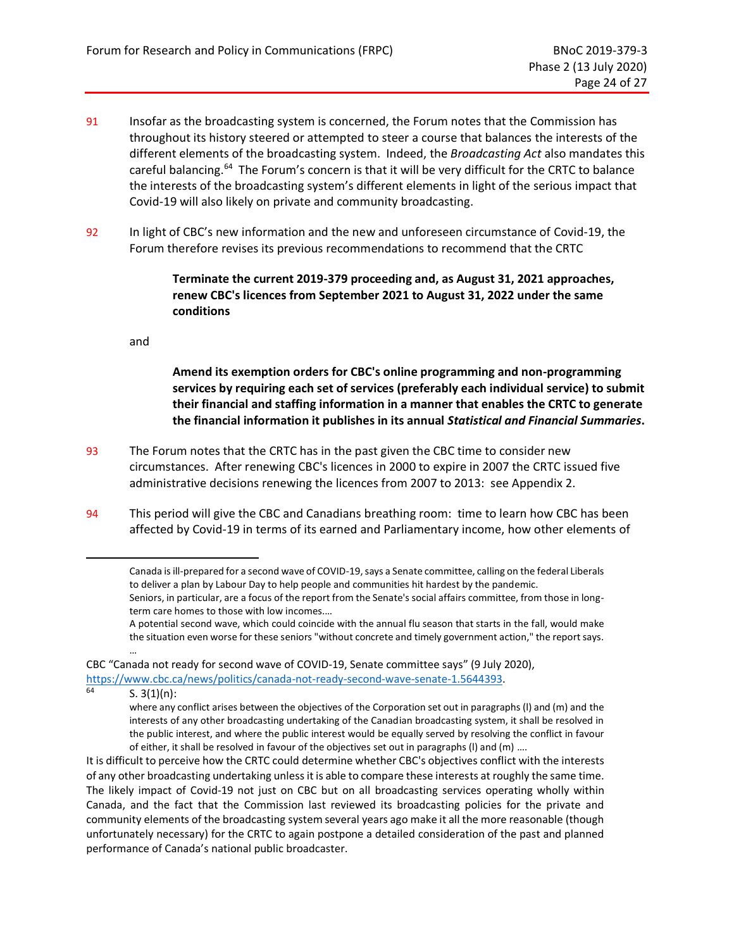- 91 Insofar as the broadcasting system is concerned, the Forum notes that the Commission has throughout its history steered or attempted to steer a course that balances the interests of the different elements of the broadcasting system. Indeed, the *Broadcasting Act* also mandates this careful balancing.<sup>64</sup> The Forum's concern is that it will be very difficult for the CRTC to balance the interests of the broadcasting system's different elements in light of the serious impact that Covid-19 will also likely on private and community broadcasting.
- 92 In light of CBC's new information and the new and unforeseen circumstance of Covid-19, the Forum therefore revises its previous recommendations to recommend that the CRTC

**Terminate the current 2019-379 proceeding and, as August 31, 2021 approaches, renew CBC's licences from September 2021 to August 31, 2022 under the same conditions**

and

**Amend its exemption orders for CBC's online programming and non-programming services by requiring each set of services (preferably each individual service) to submit their financial and staffing information in a manner that enables the CRTC to generate the financial information it publishes in its annual** *Statistical and Financial Summaries***.**

- 93 The Forum notes that the CRTC has in the past given the CBC time to consider new circumstances. After renewing CBC's licences in 2000 to expire in 2007 the CRTC issued five administrative decisions renewing the licences from 2007 to 2013: see [Appendix 2.](#page-39-0)
- 94 This period will give the CBC and Canadians breathing room: time to learn how CBC has been affected by Covid-19 in terms of its earned and Parliamentary income, how other elements of

CBC "Canada not ready for second wave of COVID-19, Senate committee says" (9 July 2020), https://www.cbc.ca/news/politics/canada-not-ready-second-wave-senate-1.5644393.

 $S. 3(1)(n)$ :

…

It is difficult to perceive how the CRTC could determine whether CBC's objectives conflict with the interests of any other broadcasting undertaking unless it is able to compare these interests at roughly the same time. The likely impact of Covid-19 not just on CBC but on all broadcasting services operating wholly within Canada, and the fact that the Commission last reviewed its broadcasting policies for the private and community elements of the broadcasting system several years ago make it all the more reasonable (though unfortunately necessary) for the CRTC to again postpone a detailed consideration of the past and planned performance of Canada's national public broadcaster.

Canada is ill-prepared for a second wave of COVID-19, says a Senate committee, calling on the federal Liberals to deliver a plan by Labour Day to help people and communities hit hardest by the pandemic. Seniors, in particular, are a focus of the report from the Senate's social affairs committee, from those in longterm care homes to those with low incomes.…

A potential second wave, which could coincide with the annual flu season that starts in the fall, would make the situation even worse for these seniors "without concrete and timely government action," the report says.

where any conflict arises between the objectives of the Corporation set out in paragraphs (l) and (m) and the interests of any other broadcasting undertaking of the Canadian broadcasting system, it shall be resolved in the public interest, and where the public interest would be equally served by resolving the conflict in favour of either, it shall be resolved in favour of the objectives set out in paragraphs (l) and (m) ….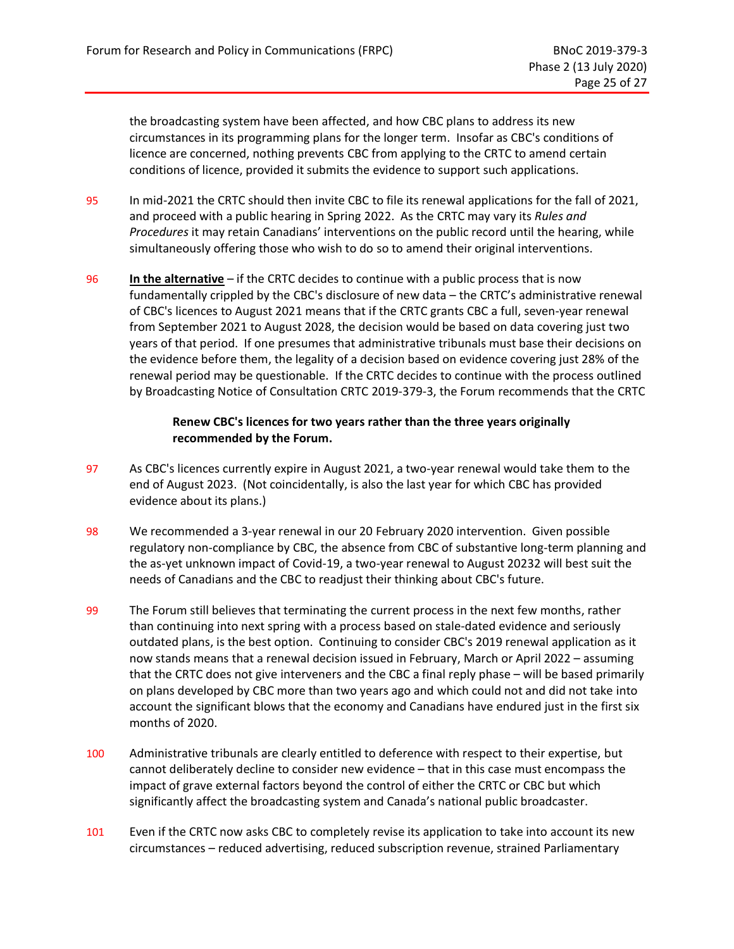the broadcasting system have been affected, and how CBC plans to address its new circumstances in its programming plans for the longer term. Insofar as CBC's conditions of licence are concerned, nothing prevents CBC from applying to the CRTC to amend certain conditions of licence, provided it submits the evidence to support such applications.

- 95 In mid-2021 the CRTC should then invite CBC to file its renewal applications for the fall of 2021, and proceed with a public hearing in Spring 2022. As the CRTC may vary its *Rules and Procedures* it may retain Canadians' interventions on the public record until the hearing, while simultaneously offering those who wish to do so to amend their original interventions.
- 96 **In the alternative** if the CRTC decides to continue with a public process that is now fundamentally crippled by the CBC's disclosure of new data – the CRTC's administrative renewal of CBC's licences to August 2021 means that if the CRTC grants CBC a full, seven-year renewal from September 2021 to August 2028, the decision would be based on data covering just two years of that period. If one presumes that administrative tribunals must base their decisions on the evidence before them, the legality of a decision based on evidence covering just 28% of the renewal period may be questionable. If the CRTC decides to continue with the process outlined by Broadcasting Notice of Consultation CRTC 2019-379-3, the Forum recommends that the CRTC

#### **Renew CBC's licences for two years rather than the three years originally recommended by the Forum.**

- 97 As CBC's licences currently expire in August 2021, a two-year renewal would take them to the end of August 2023. (Not coincidentally, is also the last year for which CBC has provided evidence about its plans.)
- 98 We recommended a 3-year renewal in our 20 February 2020 intervention. Given possible regulatory non-compliance by CBC, the absence from CBC of substantive long-term planning and the as-yet unknown impact of Covid-19, a two-year renewal to August 20232 will best suit the needs of Canadians and the CBC to readjust their thinking about CBC's future.
- 99 The Forum still believes that terminating the current process in the next few months, rather than continuing into next spring with a process based on stale-dated evidence and seriously outdated plans, is the best option. Continuing to consider CBC's 2019 renewal application as it now stands means that a renewal decision issued in February, March or April 2022 – assuming that the CRTC does not give interveners and the CBC a final reply phase – will be based primarily on plans developed by CBC more than two years ago and which could not and did not take into account the significant blows that the economy and Canadians have endured just in the first six months of 2020.
- 100 Administrative tribunals are clearly entitled to deference with respect to their expertise, but cannot deliberately decline to consider new evidence – that in this case must encompass the impact of grave external factors beyond the control of either the CRTC or CBC but which significantly affect the broadcasting system and Canada's national public broadcaster.
- 101 Even if the CRTC now asks CBC to completely revise its application to take into account its new circumstances – reduced advertising, reduced subscription revenue, strained Parliamentary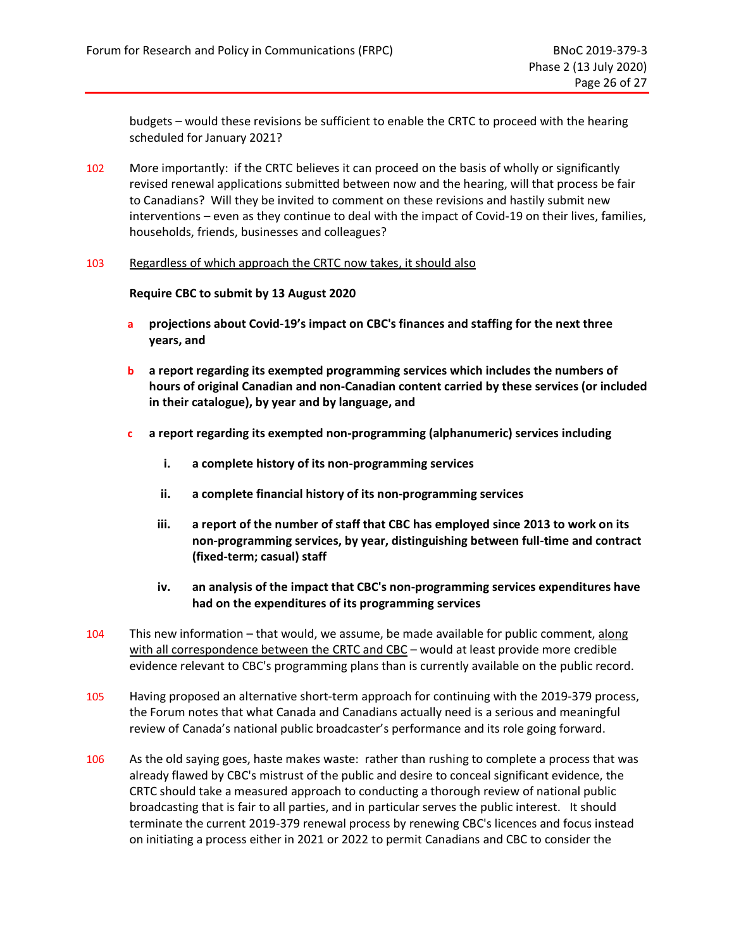budgets – would these revisions be sufficient to enable the CRTC to proceed with the hearing scheduled for January 2021?

102 More importantly: if the CRTC believes it can proceed on the basis of wholly or significantly revised renewal applications submitted between now and the hearing, will that process be fair to Canadians? Will they be invited to comment on these revisions and hastily submit new interventions – even as they continue to deal with the impact of Covid-19 on their lives, families, households, friends, businesses and colleagues?

#### 103 Regardless of which approach the CRTC now takes, it should also

#### **Require CBC to submit by 13 August 2020**

- **a projections about Covid-19's impact on CBC's finances and staffing for the next three years, and**
- **b a report regarding its exempted programming services which includes the numbers of hours of original Canadian and non-Canadian content carried by these services (or included in their catalogue), by year and by language, and**
- **c a report regarding its exempted non-programming (alphanumeric) services including** 
	- **i. a complete history of its non-programming services**
	- **ii. a complete financial history of its non-programming services**
	- **iii. a report of the number of staff that CBC has employed since 2013 to work on its non-programming services, by year, distinguishing between full-time and contract (fixed-term; casual) staff**
	- **iv. an analysis of the impact that CBC's non-programming services expenditures have had on the expenditures of its programming services**
- 104 This new information that would, we assume, be made available for public comment, along with all correspondence between the CRTC and CBC - would at least provide more credible evidence relevant to CBC's programming plans than is currently available on the public record.
- 105 Having proposed an alternative short-term approach for continuing with the 2019-379 process, the Forum notes that what Canada and Canadians actually need is a serious and meaningful review of Canada's national public broadcaster's performance and its role going forward.
- 106 As the old saying goes, haste makes waste: rather than rushing to complete a process that was already flawed by CBC's mistrust of the public and desire to conceal significant evidence, the CRTC should take a measured approach to conducting a thorough review of national public broadcasting that is fair to all parties, and in particular serves the public interest. It should terminate the current 2019-379 renewal process by renewing CBC's licences and focus instead on initiating a process either in 2021 or 2022 to permit Canadians and CBC to consider the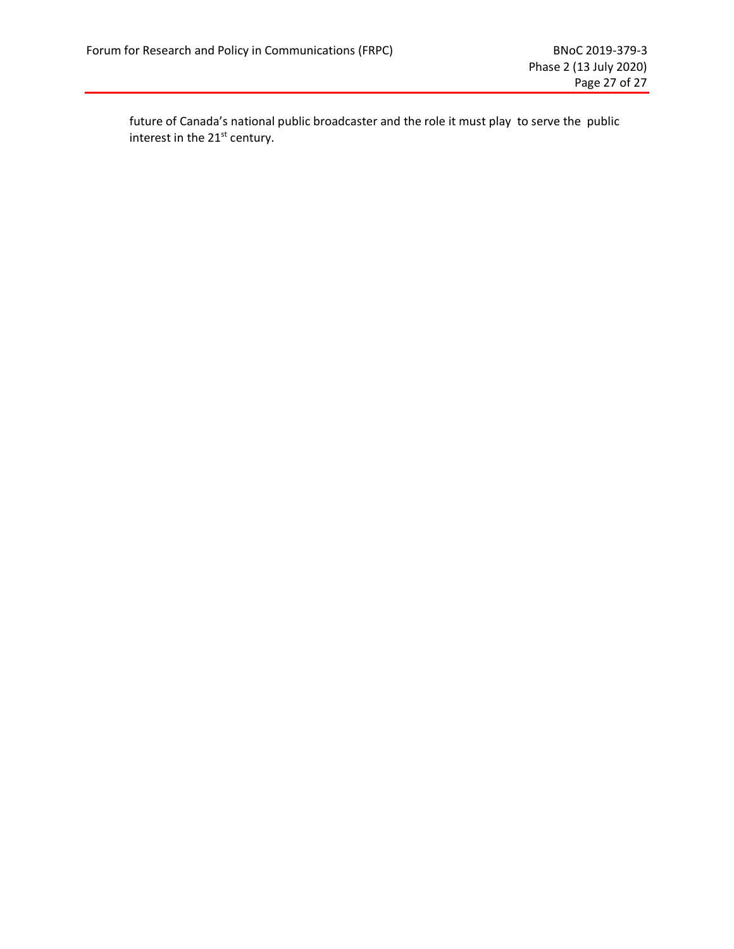future of Canada's national public broadcaster and the role it must play to serve the public interest in the 21<sup>st</sup> century.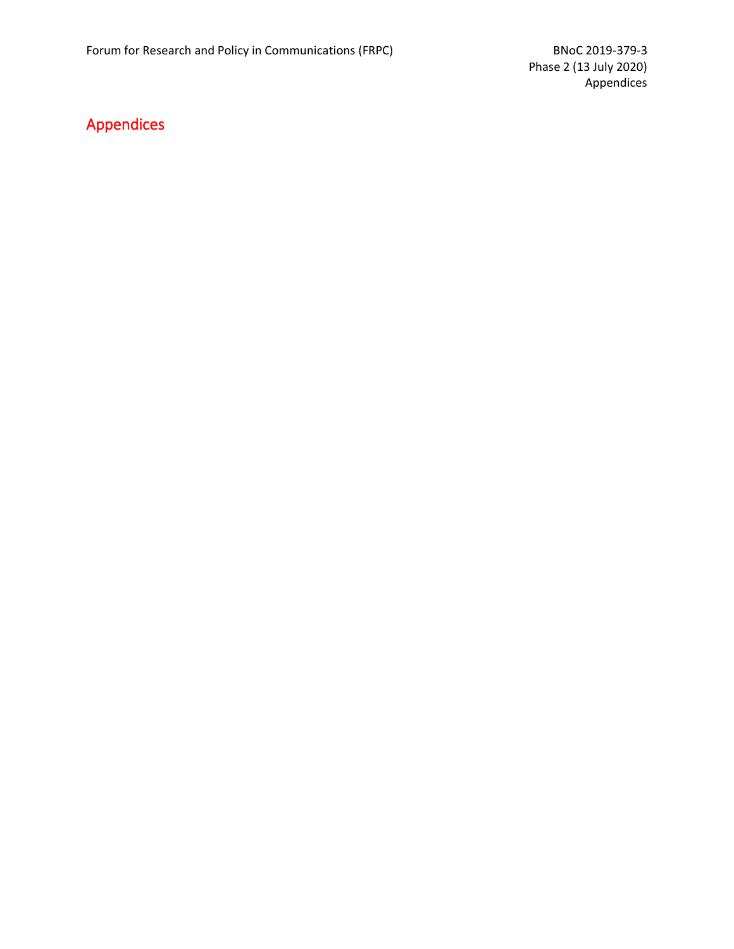## <span id="page-36-0"></span>Appendices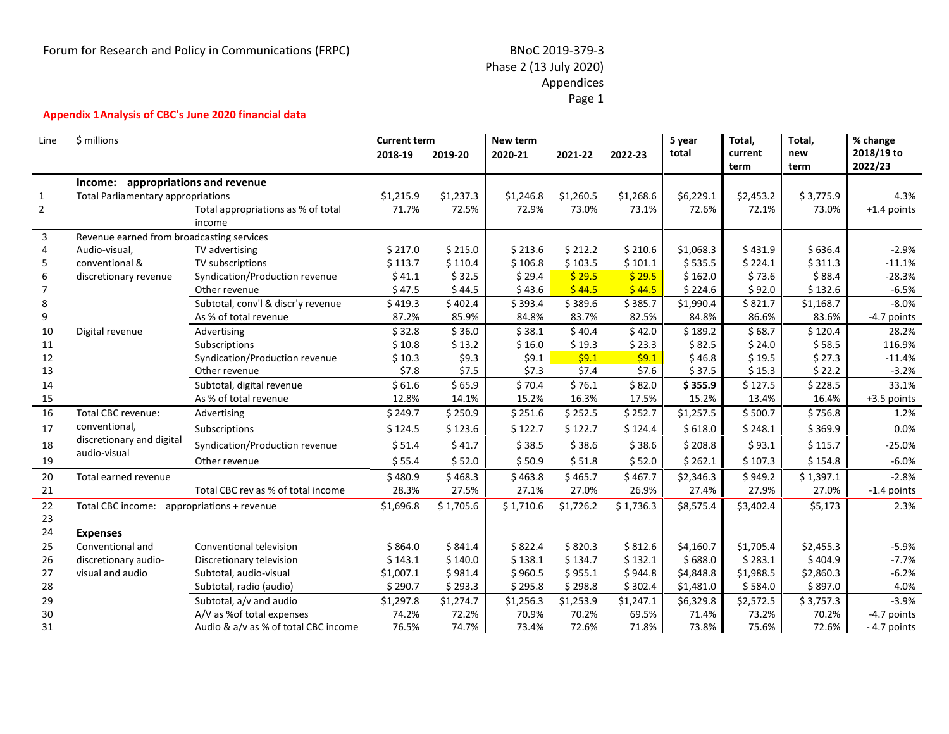## Phase 2 (13 July 2020) Appendices Page 1

#### **Appendix 1Analysis of CBC's June 2020 financial data**

<span id="page-37-0"></span>

| Line         | \$ millions                                |                                      | <b>Current term</b><br>2018-19 | 2019-20   | New term<br>2020-21 | 2021-22   | 2022-23   | 5 year<br>total | Total,<br>current<br>term | Total,<br>new<br>term | % change<br>2018/19 to<br>2022/23 |
|--------------|--------------------------------------------|--------------------------------------|--------------------------------|-----------|---------------------|-----------|-----------|-----------------|---------------------------|-----------------------|-----------------------------------|
|              | Income: appropriations and revenue         |                                      |                                |           |                     |           |           |                 |                           |                       |                                   |
| $\mathbf{1}$ | <b>Total Parliamentary appropriations</b>  |                                      | \$1,215.9                      | \$1,237.3 | \$1,246.8           | \$1,260.5 | \$1,268.6 | \$6,229.1       | \$2,453.2                 | \$3,775.9             | 4.3%                              |
| 2            |                                            | Total appropriations as % of total   | 71.7%                          | 72.5%     | 72.9%               | 73.0%     | 73.1%     | 72.6%           | 72.1%                     | 73.0%                 | +1.4 points                       |
|              |                                            | income                               |                                |           |                     |           |           |                 |                           |                       |                                   |
| 3            | Revenue earned from broadcasting services  |                                      |                                |           |                     |           |           |                 |                           |                       |                                   |
| 4            | Audio-visual,                              | TV advertising                       | \$217.0                        | \$215.0   | \$213.6             | \$212.2   | \$210.6   | \$1,068.3       | \$431.9                   | \$636.4               | $-2.9%$                           |
| 5            | conventional &                             | TV subscriptions                     | \$113.7                        | \$110.4   | \$106.8             | \$103.5   | \$101.1   | \$535.5         | \$224.1                   | \$311.3               | $-11.1%$                          |
| 6            | discretionary revenue                      | Syndication/Production revenue       | \$41.1                         | \$32.5    | \$29.4              | \$29.5    | \$29.5    | \$162.0         | \$73.6                    | \$88.4                | $-28.3%$                          |
|              |                                            | Other revenue                        | \$47.5                         | \$44.5    | \$43.6              | \$44.5    | \$44.5    | \$224.6         | \$92.0                    | \$132.6               | $-6.5%$                           |
| 8            |                                            | Subtotal, conv'l & discr'y revenue   | \$419.3                        | \$402.4   | \$393.4             | \$389.6   | \$385.7   | \$1,990.4       | \$821.7                   | \$1,168.7             | $-8.0%$                           |
| 9            |                                            | As % of total revenue                | 87.2%                          | 85.9%     | 84.8%               | 83.7%     | 82.5%     | 84.8%           | 86.6%                     | 83.6%                 | -4.7 points                       |
| 10           | Digital revenue                            | Advertising                          | \$32.8                         | \$36.0    | \$38.1              | \$40.4    | \$42.0    | \$189.2         | \$68.7                    | \$120.4               | 28.2%                             |
| 11           |                                            | Subscriptions                        | \$10.8                         | \$13.2    | \$16.0              | \$19.3    | \$23.3    | \$82.5          | \$24.0                    | \$58.5                | 116.9%                            |
| 12           |                                            | Syndication/Production revenue       | \$10.3                         | \$9.3     | \$9.1               | \$9.1     | \$9.1     | \$46.8          | \$19.5                    | \$27.3                | $-11.4%$                          |
| 13           |                                            | Other revenue                        | \$7.8                          | \$7.5     | \$7.3               | \$7.4     | \$7.6     | \$37.5          | \$15.3                    | \$22.2                | $-3.2%$                           |
| 14           |                                            | Subtotal, digital revenue            | \$61.6                         | \$65.9    | \$70.4              | \$76.1    | \$82.0    | \$355.9         | \$127.5                   | \$228.5               | 33.1%                             |
| 15           |                                            | As % of total revenue                | 12.8%                          | 14.1%     | 15.2%               | 16.3%     | 17.5%     | 15.2%           | 13.4%                     | 16.4%                 | +3.5 points                       |
| 16           | Total CBC revenue:                         | Advertising                          | \$249.7                        | \$250.9   | \$251.6             | \$252.5   | \$252.7   | \$1,257.5       | \$500.7                   | \$756.8               | 1.2%                              |
| 17           | conventional,                              | Subscriptions                        | \$124.5                        | \$123.6   | \$122.7             | \$122.7   | \$124.4   | \$618.0         | \$248.1                   | \$369.9               | 0.0%                              |
| 18           | discretionary and digital                  | Syndication/Production revenue       | \$51.4                         | \$41.7    | \$38.5              | \$38.6    | \$38.6    | \$208.8         | \$93.1                    | \$115.7               | $-25.0%$                          |
| 19           | audio-visual                               | Other revenue                        | \$55.4                         | \$52.0    | \$50.9              | \$51.8    | \$52.0    | \$262.1         | \$107.3                   | \$154.8               | $-6.0%$                           |
| 20           | Total earned revenue                       |                                      | \$480.9                        | \$468.3   | \$463.8             | \$465.7   | \$467.7   | \$2,346.3       | \$949.2                   | \$1,397.1             | $-2.8%$                           |
| 21           |                                            | Total CBC rev as % of total income   | 28.3%                          | 27.5%     | 27.1%               | 27.0%     | 26.9%     | 27.4%           | 27.9%                     | 27.0%                 | -1.4 points                       |
| 22           | Total CBC income: appropriations + revenue |                                      | \$1,696.8                      | \$1,705.6 | \$1,710.6           | \$1,726.2 | \$1,736.3 | \$8,575.4       | \$3,402.4                 | \$5,173               | 2.3%                              |
| 23           |                                            |                                      |                                |           |                     |           |           |                 |                           |                       |                                   |
| 24           | <b>Expenses</b>                            |                                      |                                |           |                     |           |           |                 |                           |                       |                                   |
| 25           | Conventional and                           | Conventional television              | \$864.0                        | \$841.4   | \$822.4             | \$820.3   | \$812.6   | \$4,160.7       | \$1,705.4                 | \$2,455.3             | $-5.9%$                           |
| 26           | discretionary audio-                       | Discretionary television             | \$143.1                        | \$140.0   | \$138.1             | \$134.7   | \$132.1   | \$688.0         | \$283.1                   | \$404.9               | $-7.7%$                           |
| 27           | visual and audio                           | Subtotal, audio-visual               | \$1,007.1                      | \$981.4   | \$960.5             | \$955.1   | \$944.8   | \$4,848.8       | \$1,988.5                 | \$2,860.3             | $-6.2%$                           |
| 28           |                                            | Subtotal, radio (audio)              | \$290.7                        | \$293.3   | \$295.8             | \$298.8   | \$302.4   | \$1,481.0       | \$584.0                   | \$897.0               | 4.0%                              |
| 29           |                                            | Subtotal, a/v and audio              | \$1,297.8                      | \$1,274.7 | \$1,256.3           | \$1,253.9 | \$1,247.1 | \$6,329.8       | \$2,572.5                 | \$3,757.3             | $-3.9%$                           |
| 30           |                                            | A/V as %of total expenses            | 74.2%                          | 72.2%     | 70.9%               | 70.2%     | 69.5%     | 71.4%           | 73.2%                     | 70.2%                 | -4.7 points                       |
| 31           |                                            | Audio & a/v as % of total CBC income | 76.5%                          | 74.7%     | 73.4%               | 72.6%     | 71.8%     | 73.8%           | 75.6%                     | 72.6%                 | -4.7 points                       |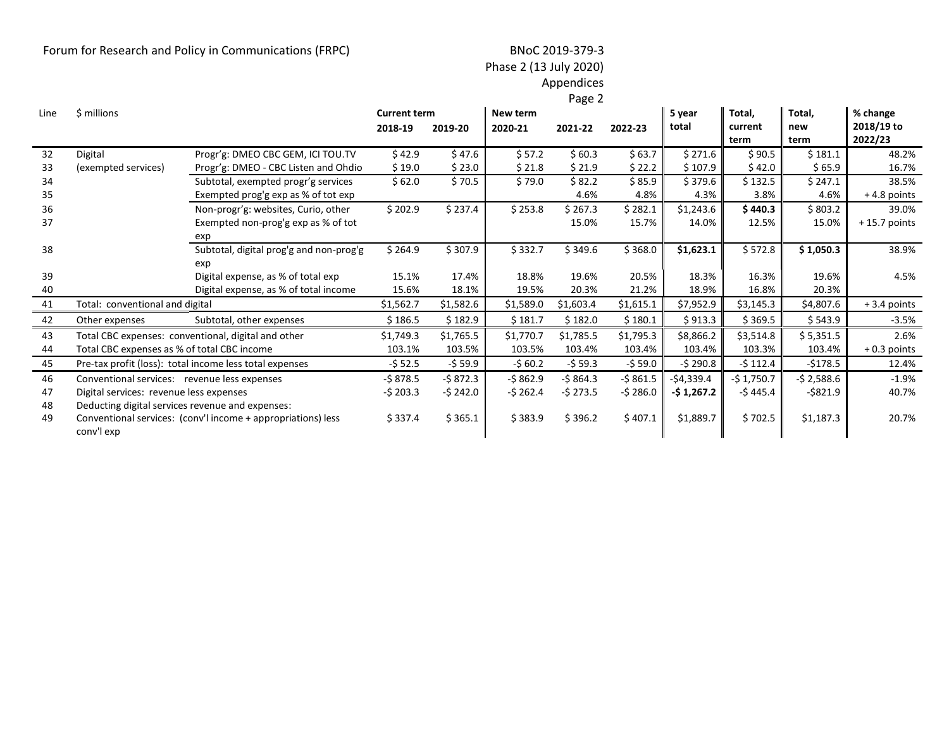## Forum for Research and Policy in Communications (FRPC) BNoC 2019-379-3

# Phase 2 (13 July 2020)

Appendices Page 2

|      |                                                  |                                                              |                     |           |           | ugc       |           |             |             |             |                |
|------|--------------------------------------------------|--------------------------------------------------------------|---------------------|-----------|-----------|-----------|-----------|-------------|-------------|-------------|----------------|
| Line | \$ millions                                      |                                                              | <b>Current term</b> |           | New term  |           |           | 5 year      | Total,      | Total,      | % change       |
|      |                                                  |                                                              | 2018-19             | 2019-20   | 2020-21   | 2021-22   | 2022-23   | total       | current     | new         | 2018/19 to     |
|      |                                                  |                                                              |                     |           |           |           |           |             | term        | term        | 2022/23        |
| 32   | Digital                                          | Progr'g: DMEO CBC GEM, ICI TOU.TV                            | \$42.9              | \$47.6    | \$57.2    | \$60.3    | \$63.7    | \$271.6     | \$90.5      | \$181.1     | 48.2%          |
| 33   | (exempted services)                              | Progr'g: DMEO - CBC Listen and Ohdio                         | \$19.0              | \$23.0    | \$21.8    | \$21.9    | \$22.2\$  | \$107.9     | \$42.0      | \$65.9      | 16.7%          |
| 34   |                                                  | Subtotal, exempted progr'g services                          | \$62.0              | \$70.5    | \$79.0    | \$82.2    | \$ 85.9   | \$379.6     | \$132.5     | \$247.1     | 38.5%          |
| 35   |                                                  | Exempted prog'g exp as % of tot exp                          |                     |           |           | 4.6%      | 4.8%      | 4.3%        | 3.8%        | 4.6%        | $+4.8$ points  |
| 36   |                                                  | Non-progr'g: websites, Curio, other                          | \$202.9             | \$237.4   | \$253.8   | \$ 267.3  | \$282.1   | \$1,243.6   | \$440.3     | \$803.2     | 39.0%          |
| 37   |                                                  | Exempted non-prog'g exp as % of tot                          |                     |           |           | 15.0%     | 15.7%     | 14.0%       | 12.5%       | 15.0%       | $+15.7$ points |
|      |                                                  | exp                                                          |                     |           |           |           |           |             |             |             |                |
| 38   |                                                  | Subtotal, digital prog'g and non-prog'g                      | \$264.9             | \$307.9   | \$332.7   | \$349.6   | \$368.0   | \$1,623.1   | \$572.8     | \$1,050.3   | 38.9%          |
|      |                                                  | exp                                                          |                     |           |           |           |           |             |             |             |                |
| 39   |                                                  | Digital expense, as % of total exp                           | 15.1%               | 17.4%     | 18.8%     | 19.6%     | 20.5%     | 18.3%       | 16.3%       | 19.6%       | 4.5%           |
| 40   |                                                  | Digital expense, as % of total income                        | 15.6%               | 18.1%     | 19.5%     | 20.3%     | 21.2%     | 18.9%       | 16.8%       | 20.3%       |                |
| 41   | Total: conventional and digital                  |                                                              | \$1,562.7           | \$1,582.6 | \$1,589.0 | \$1,603.4 | \$1,615.1 | \$7,952.9   | \$3,145.3   | \$4,807.6   | $+3.4$ points  |
| 42   | Other expenses                                   | Subtotal, other expenses                                     | \$186.5             | \$182.9   | \$181.7   | \$182.0   | \$180.1   | \$913.3     | \$369.5     | \$543.9     | $-3.5%$        |
| 43   |                                                  | Total CBC expenses: conventional, digital and other          | \$1,749.3           | \$1,765.5 | \$1,770.7 | \$1,785.5 | \$1,795.3 | \$8,866.2   | \$3,514.8   | \$5,351.5   | 2.6%           |
| 44   | Total CBC expenses as % of total CBC income      |                                                              | 103.1%              | 103.5%    | 103.5%    | 103.4%    | 103.4%    | 103.4%      | 103.3%      | 103.4%      | $+0.3$ points  |
| 45   |                                                  | Pre-tax profit (loss): total income less total expenses      | $-552.5$            | $-559.9$  | $-560.2$  | $-559.3$  | -\$ 59.0  | $-5290.8$   | $-5112.4$   | $-$178.5$   | 12.4%          |
| 46   | Conventional services: revenue less expenses     |                                                              | -\$ 878.5           | $-5872.3$ | $-5862.9$ | $-5864.3$ | -\$861.5  | $-$4,339.4$ | $-51,750.7$ | $-52,588.6$ | $-1.9%$        |
| 47   | Digital services: revenue less expenses          |                                                              | $-$ \$ 203.3        | -\$ 242.0 | $-5262.4$ | $-5273.5$ | -\$ 286.0 | -\$ 1,267.2 | -\$ 445.4   | $-5821.9$   | 40.7%          |
| 48   | Deducting digital services revenue and expenses: |                                                              |                     |           |           |           |           |             |             |             |                |
| 49   |                                                  | Conventional services: (conv'l income + appropriations) less | \$337.4             | \$365.1   | \$383.9   | \$396.2   | \$407.1   | \$1,889.7   | \$702.5     | \$1,187.3   | 20.7%          |
|      | conv'l exp                                       |                                                              |                     |           |           |           |           |             |             |             |                |
|      |                                                  |                                                              |                     |           |           |           |           |             |             |             |                |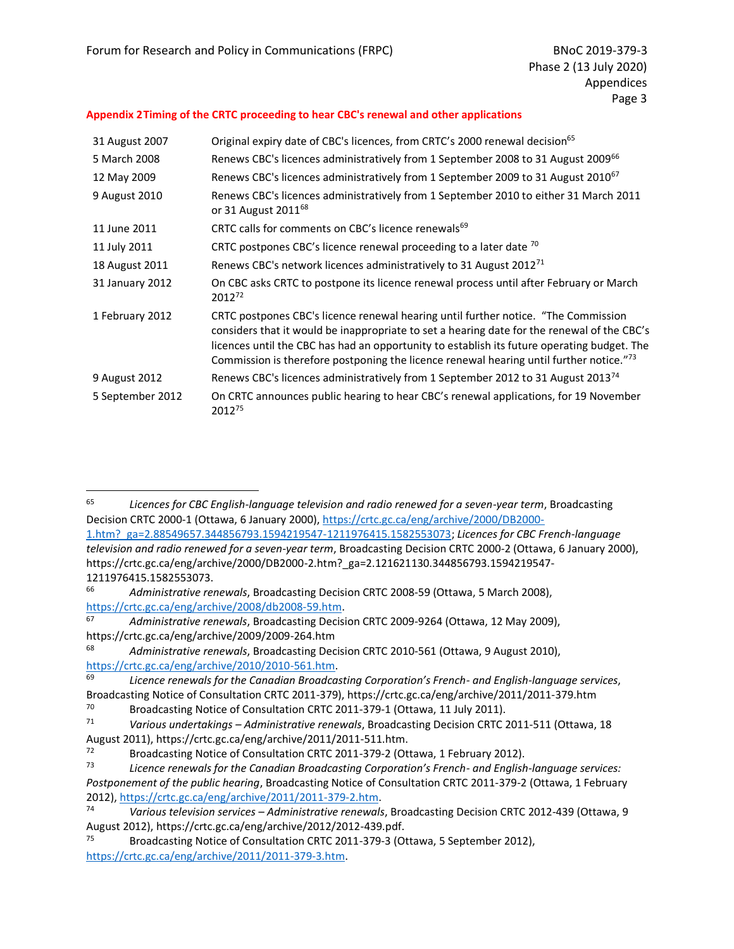#### <span id="page-39-0"></span>**Appendix 2Timing of the CRTC proceeding to hear CBC's renewal and other applications**

| 31 August 2007   | Original expiry date of CBC's licences, from CRTC's 2000 renewal decision <sup>65</sup>                                                                                                                                                                                                                                                                                     |
|------------------|-----------------------------------------------------------------------------------------------------------------------------------------------------------------------------------------------------------------------------------------------------------------------------------------------------------------------------------------------------------------------------|
| 5 March 2008     | Renews CBC's licences administratively from 1 September 2008 to 31 August 2009 <sup>66</sup>                                                                                                                                                                                                                                                                                |
| 12 May 2009      | Renews CBC's licences administratively from 1 September 2009 to 31 August 2010 <sup>67</sup>                                                                                                                                                                                                                                                                                |
| 9 August 2010    | Renews CBC's licences administratively from 1 September 2010 to either 31 March 2011<br>or 31 August 2011 <sup>68</sup>                                                                                                                                                                                                                                                     |
| 11 June 2011     | CRTC calls for comments on CBC's licence renewals <sup>69</sup>                                                                                                                                                                                                                                                                                                             |
| 11 July 2011     | CRTC postpones CBC's licence renewal proceeding to a later date $^{70}$                                                                                                                                                                                                                                                                                                     |
| 18 August 2011   | Renews CBC's network licences administratively to 31 August 2012 <sup>71</sup>                                                                                                                                                                                                                                                                                              |
| 31 January 2012  | On CBC asks CRTC to postpone its licence renewal process until after February or March<br>2012 <sup>72</sup>                                                                                                                                                                                                                                                                |
| 1 February 2012  | CRTC postpones CBC's licence renewal hearing until further notice. "The Commission<br>considers that it would be inappropriate to set a hearing date for the renewal of the CBC's<br>licences until the CBC has had an opportunity to establish its future operating budget. The<br>Commission is therefore postponing the licence renewal hearing until further notice."73 |
| 9 August 2012    | Renews CBC's licences administratively from 1 September 2012 to 31 August 2013 <sup>74</sup>                                                                                                                                                                                                                                                                                |
| 5 September 2012 | On CRTC announces public hearing to hear CBC's renewal applications, for 19 November<br>201275                                                                                                                                                                                                                                                                              |

<sup>65</sup> *Licences for CBC English-language television and radio renewed for a seven-year term*, Broadcasting Decision CRTC 2000-1 (Ottawa, 6 January 2000), [https://crtc.gc.ca/eng/archive/2000/DB2000-](https://crtc.gc.ca/eng/archive/2000/DB2000-1.htm?_ga=2.88549657.344856793.1594219547-1211976415.1582553073) [1.htm?\\_ga=2.88549657.344856793.1594219547-1211976415.1582553073;](https://crtc.gc.ca/eng/archive/2000/DB2000-1.htm?_ga=2.88549657.344856793.1594219547-1211976415.1582553073) *Licences for CBC French-language* 

*television and radio renewed for a seven-year term*, Broadcasting Decision CRTC 2000-2 (Ottawa, 6 January 2000), https://crtc.gc.ca/eng/archive/2000/DB2000-2.htm?\_ga=2.121621130.344856793.1594219547- 1211976415.1582553073.

<sup>66</sup> *Administrative renewals*, Broadcasting Decision CRTC 2008-59 (Ottawa, 5 March 2008), [https://crtc.gc.ca/eng/archive/2008/db2008-59.htm.](https://crtc.gc.ca/eng/archive/2008/db2008-59.htm)

<sup>67</sup> *Administrative renewals*, Broadcasting Decision CRTC 2009-9264 (Ottawa, 12 May 2009), https://crtc.gc.ca/eng/archive/2009/2009-264.htm

<sup>68</sup> *Administrative renewals*, Broadcasting Decision CRTC 2010-561 (Ottawa, 9 August 2010), [https://crtc.gc.ca/eng/archive/2010/2010-561.htm.](https://crtc.gc.ca/eng/archive/2010/2010-561.htm)

<sup>69</sup> *Licence renewals for the Canadian Broadcasting Corporation's French- and English-language services*, Broadcasting Notice of Consultation CRTC 2011-379), https://crtc.gc.ca/eng/archive/2011/2011-379.htm

 $^{70}$  Broadcasting Notice of Consultation CRTC 2011-379-1 (Ottawa, 11 July 2011).<br> $^{71}$  Various undertakings – Administrative renewals. Broadcasting Decision CRTC 3

<sup>71</sup> *Various undertakings – Administrative renewals*, Broadcasting Decision CRTC 2011-511 (Ottawa, 18 August 2011), https://crtc.gc.ca/eng/archive/2011/2011-511.htm.

<sup>&</sup>lt;sup>72</sup> Broadcasting Notice of Consultation CRTC 2011-379-2 (Ottawa, 1 February 2012).<br>1<sup>73</sup> Licence renewals for the Canadian Broadcasting Corporation's French- and English

<sup>73</sup> *Licence renewals for the Canadian Broadcasting Corporation's French- and English-language services: Postponement of the public hearing*, Broadcasting Notice of Consultation CRTC 2011-379-2 (Ottawa, 1 February 2012), [https://crtc.gc.ca/eng/archive/2011/2011-379-2.htm.](https://crtc.gc.ca/eng/archive/2011/2011-379-2.htm)

<sup>74</sup> *Various television services – Administrative renewals*, Broadcasting Decision CRTC 2012-439 (Ottawa, 9 August 2012), https://crtc.gc.ca/eng/archive/2012/2012-439.pdf.<br><sup>75</sup> Broadcasting Notice of Consultation CRTC 2011-379-3 (Or

Broadcasting Notice of Consultation CRTC 2011-379-3 (Ottawa, 5 September 2012), [https://crtc.gc.ca/eng/archive/2011/2011-379-3.htm.](https://crtc.gc.ca/eng/archive/2011/2011-379-3.htm)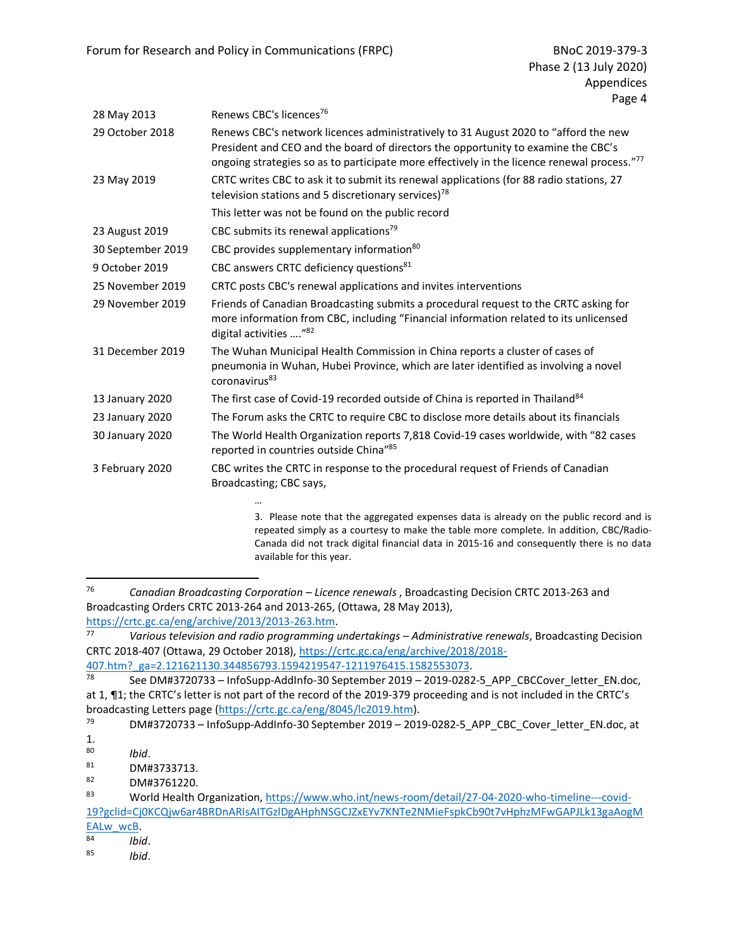| 28 May 2013       | Renews CBC's licences <sup>76</sup>                                                                                                                                                                                                                                     |
|-------------------|-------------------------------------------------------------------------------------------------------------------------------------------------------------------------------------------------------------------------------------------------------------------------|
| 29 October 2018   | Renews CBC's network licences administratively to 31 August 2020 to "afford the new<br>President and CEO and the board of directors the opportunity to examine the CBC's<br>ongoing strategies so as to participate more effectively in the licence renewal process."77 |
| 23 May 2019       | CRTC writes CBC to ask it to submit its renewal applications (for 88 radio stations, 27<br>television stations and 5 discretionary services) <sup>78</sup>                                                                                                              |
|                   | This letter was not be found on the public record                                                                                                                                                                                                                       |
| 23 August 2019    | CBC submits its renewal applications <sup>79</sup>                                                                                                                                                                                                                      |
| 30 September 2019 | CBC provides supplementary information <sup>80</sup>                                                                                                                                                                                                                    |
| 9 October 2019    | CBC answers CRTC deficiency questions <sup>81</sup>                                                                                                                                                                                                                     |
| 25 November 2019  | CRTC posts CBC's renewal applications and invites interventions                                                                                                                                                                                                         |
| 29 November 2019  | Friends of Canadian Broadcasting submits a procedural request to the CRTC asking for<br>more information from CBC, including "Financial information related to its unlicensed<br>digital activities "82                                                                 |
| 31 December 2019  | The Wuhan Municipal Health Commission in China reports a cluster of cases of<br>pneumonia in Wuhan, Hubei Province, which are later identified as involving a novel<br>coronavirus <sup>83</sup>                                                                        |
| 13 January 2020   | The first case of Covid-19 recorded outside of China is reported in Thailand <sup>84</sup>                                                                                                                                                                              |
| 23 January 2020   | The Forum asks the CRTC to require CBC to disclose more details about its financials                                                                                                                                                                                    |
| 30 January 2020   | The World Health Organization reports 7,818 Covid-19 cases worldwide, with "82 cases<br>reported in countries outside China"85                                                                                                                                          |
| 3 February 2020   | CBC writes the CRTC in response to the procedural request of Friends of Canadian<br>Broadcasting; CBC says,                                                                                                                                                             |
|                   | 3. Please note that the aggregated expenses data is already on the public record and is<br>repeated simply as a courtesy to make the table more complete. In addition, CBC/Radio-                                                                                       |
|                   | Canada did not track digital financial data in 2015-16 and consequently there is no data                                                                                                                                                                                |

available for this year.

<sup>76</sup> *Canadian Broadcasting Corporation – Licence renewals* , Broadcasting Decision CRTC 2013-263 and Broadcasting Orders CRTC 2013-264 and 2013-265, (Ottawa, 28 May 2013), [https://crtc.gc.ca/eng/archive/2013/2013-263.htm.](https://crtc.gc.ca/eng/archive/2013/2013-263.htm)<br>77 Various television and radio programming i

<sup>77</sup> *Various television and radio programming undertakings – Administrative renewals*, Broadcasting Decision CRTC 2018-407 (Ottawa, 29 October 2018), [https://crtc.gc.ca/eng/archive/2018/2018-](https://crtc.gc.ca/eng/archive/2018/2018-407.htm?_ga=2.121621130.344856793.1594219547-1211976415.1582553073)  $\frac{407 \text{.htm}}{78}$  ga=2.121621130.344856793.1594219547-1211976415.1582553073.<br> $\frac{1}{78}$  See DM#3720733 - InfoSunn-Addinfo-30 Sentember 2019 - 2019-0282

See DM#3720733 – InfoSupp-AddInfo-30 September 2019 – 2019-0282-5\_APP\_CBCCover\_letter\_EN.doc, at 1, ¶1; the CRTC's letter is not part of the record of the 2019-379 proceeding and is not included in the CRTC's broadcasting Letters page [\(https://crtc.gc.ca/eng/8045/lc2019.htm\)](https://crtc.gc.ca/eng/8045/lc2019.htm).

DM#3720733 - InfoSupp-AddInfo-30 September 2019 - 2019-0282-5\_APP\_CBC\_Cover\_letter\_EN.doc, at

 $\frac{1}{80}$ 

<sup>80</sup> *Ibid*.

 $^{81}$  DM#3733713.<br> $^{82}$  DM#3761220

DM#3761220.

<sup>83</sup> World Health Organization[, https://www.who.int/news-room/detail/27-04-2020-who-timeline---covid-](https://www.who.int/news-room/detail/27-04-2020-who-timeline---covid-19?gclid=Cj0KCQjw6ar4BRDnARIsAITGzlDgAHphNSGCJZxEYv7KNTe2NMieFspkCb90t7vHphzMFwGAPJLk13gaAogMEALw_wcB)[19?gclid=Cj0KCQjw6ar4BRDnARIsAITGzlDgAHphNSGCJZxEYv7KNTe2NMieFspkCb90t7vHphzMFwGAPJLk13gaAogM](https://www.who.int/news-room/detail/27-04-2020-who-timeline---covid-19?gclid=Cj0KCQjw6ar4BRDnARIsAITGzlDgAHphNSGCJZxEYv7KNTe2NMieFspkCb90t7vHphzMFwGAPJLk13gaAogMEALw_wcB)

 $EALw$  wcB.<br> $84$  lbis

<sup>84</sup> *Ibid*. <sup>85</sup> *Ibid*.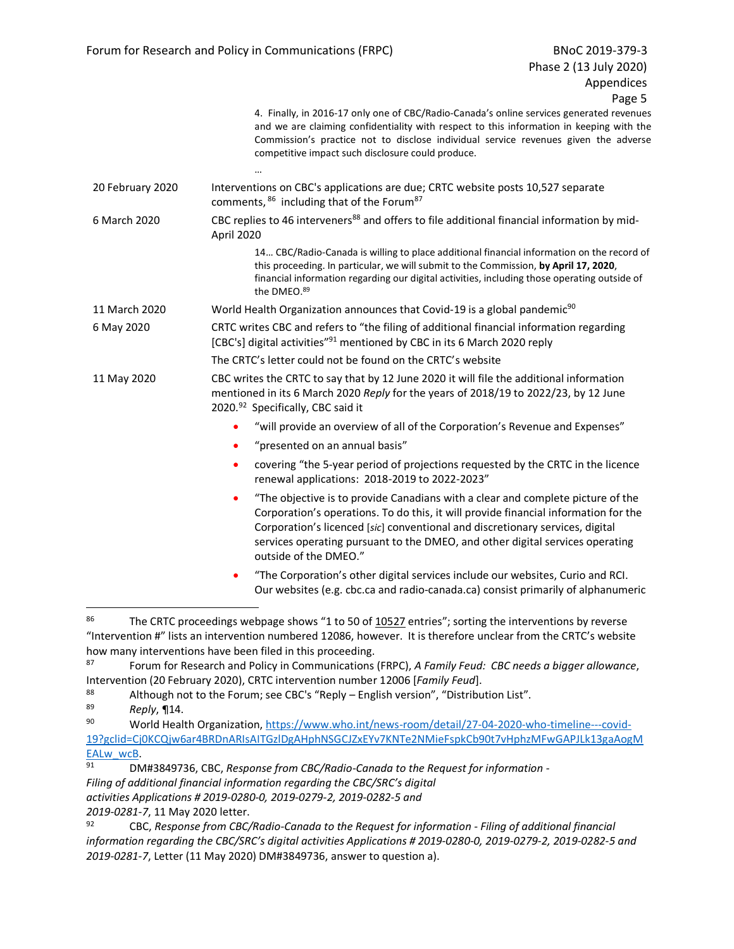|                  | 4. Finally, in 2016-17 only one of CBC/Radio-Canada's online services generated revenues<br>and we are claiming confidentiality with respect to this information in keeping with the<br>Commission's practice not to disclose individual service revenues given the adverse<br>competitive impact such disclosure could produce.                                               |
|------------------|--------------------------------------------------------------------------------------------------------------------------------------------------------------------------------------------------------------------------------------------------------------------------------------------------------------------------------------------------------------------------------|
|                  |                                                                                                                                                                                                                                                                                                                                                                                |
| 20 February 2020 | Interventions on CBC's applications are due; CRTC website posts 10,527 separate<br>comments, 86 including that of the Forum <sup>87</sup>                                                                                                                                                                                                                                      |
| 6 March 2020     | CBC replies to 46 interveners <sup>88</sup> and offers to file additional financial information by mid-<br>April 2020                                                                                                                                                                                                                                                          |
|                  | 14 CBC/Radio-Canada is willing to place additional financial information on the record of<br>this proceeding. In particular, we will submit to the Commission, by April 17, 2020,<br>financial information regarding our digital activities, including those operating outside of<br>the DMEO.89                                                                               |
| 11 March 2020    | World Health Organization announces that Covid-19 is a global pandemic <sup>90</sup>                                                                                                                                                                                                                                                                                           |
| 6 May 2020       | CRTC writes CBC and refers to "the filing of additional financial information regarding<br>[CBC's] digital activities" <sup>91</sup> mentioned by CBC in its 6 March 2020 reply                                                                                                                                                                                                |
|                  | The CRTC's letter could not be found on the CRTC's website                                                                                                                                                                                                                                                                                                                     |
| 11 May 2020      | CBC writes the CRTC to say that by 12 June 2020 it will file the additional information<br>mentioned in its 6 March 2020 Reply for the years of 2018/19 to 2022/23, by 12 June<br>2020. <sup>92</sup> Specifically, CBC said it                                                                                                                                                |
|                  | "will provide an overview of all of the Corporation's Revenue and Expenses"                                                                                                                                                                                                                                                                                                    |
|                  | "presented on an annual basis"                                                                                                                                                                                                                                                                                                                                                 |
|                  | covering "the 5-year period of projections requested by the CRTC in the licence<br>$\bullet$<br>renewal applications: 2018-2019 to 2022-2023"                                                                                                                                                                                                                                  |
|                  | "The objective is to provide Canadians with a clear and complete picture of the<br>$\bullet$<br>Corporation's operations. To do this, it will provide financial information for the<br>Corporation's licenced [sic] conventional and discretionary services, digital<br>services operating pursuant to the DMEO, and other digital services operating<br>outside of the DMEO." |
|                  | "The Corporation's other digital services include our websites, Curio and RCI.<br>$\bullet$<br>Our websites (e.g. cbc.ca and radio-canada.ca) consist primarily of alphanumeric                                                                                                                                                                                                |
| 86               | The CRTC proceedings webpage shows "1 to 50 of 10527 entries"; sorting the interventions by reverse                                                                                                                                                                                                                                                                            |

<sup>&</sup>quot;Intervention #" lists an intervention numbered 12086, however. It is therefore unclear from the CRTC's website how many interventions have been filed in this proceeding.<br><sup>87</sup> Equipm for Possarch and Policy in Communications

<sup>87</sup> Forum for Research and Policy in Communications (FRPC), *A Family Feud: CBC needs a bigger allowance*, Intervention (20 February 2020), CRTC intervention number 12006 [*Family Feud*].

<sup>&</sup>lt;sup>88</sup> Although not to the Forum; see CBC's "Reply – English version", "Distribution List".<br><sup>89</sup> Reply **11**4

<sup>89</sup> *Reply*, ¶14.

World Health Organization[, https://www.who.int/news-room/detail/27-04-2020-who-timeline---covid-](https://www.who.int/news-room/detail/27-04-2020-who-timeline---covid-19?gclid=Cj0KCQjw6ar4BRDnARIsAITGzlDgAHphNSGCJZxEYv7KNTe2NMieFspkCb90t7vHphzMFwGAPJLk13gaAogMEALw_wcB)[19?gclid=Cj0KCQjw6ar4BRDnARIsAITGzlDgAHphNSGCJZxEYv7KNTe2NMieFspkCb90t7vHphzMFwGAPJLk13gaAogM](https://www.who.int/news-room/detail/27-04-2020-who-timeline---covid-19?gclid=Cj0KCQjw6ar4BRDnARIsAITGzlDgAHphNSGCJZxEYv7KNTe2NMieFspkCb90t7vHphzMFwGAPJLk13gaAogMEALw_wcB)  $EALw$  wcB.<br>91 DM

<sup>91</sup> DM#3849736, CBC, *Response from CBC/Radio-Canada to the Request for information - Filing of additional financial information regarding the CBC/SRC's digital activities Applications # 2019-0280-0, 2019-0279-2, 2019-0282-5 and 2019-0281-7*, 11 May 2020 letter.

<sup>92</sup> CBC, *Response from CBC/Radio-Canada to the Request for information - Filing of additional financial information regarding the CBC/SRC's digital activities Applications # 2019-0280-0, 2019-0279-2, 2019-0282-5 and 2019-0281-7*, Letter (11 May 2020) DM#3849736, answer to question a).